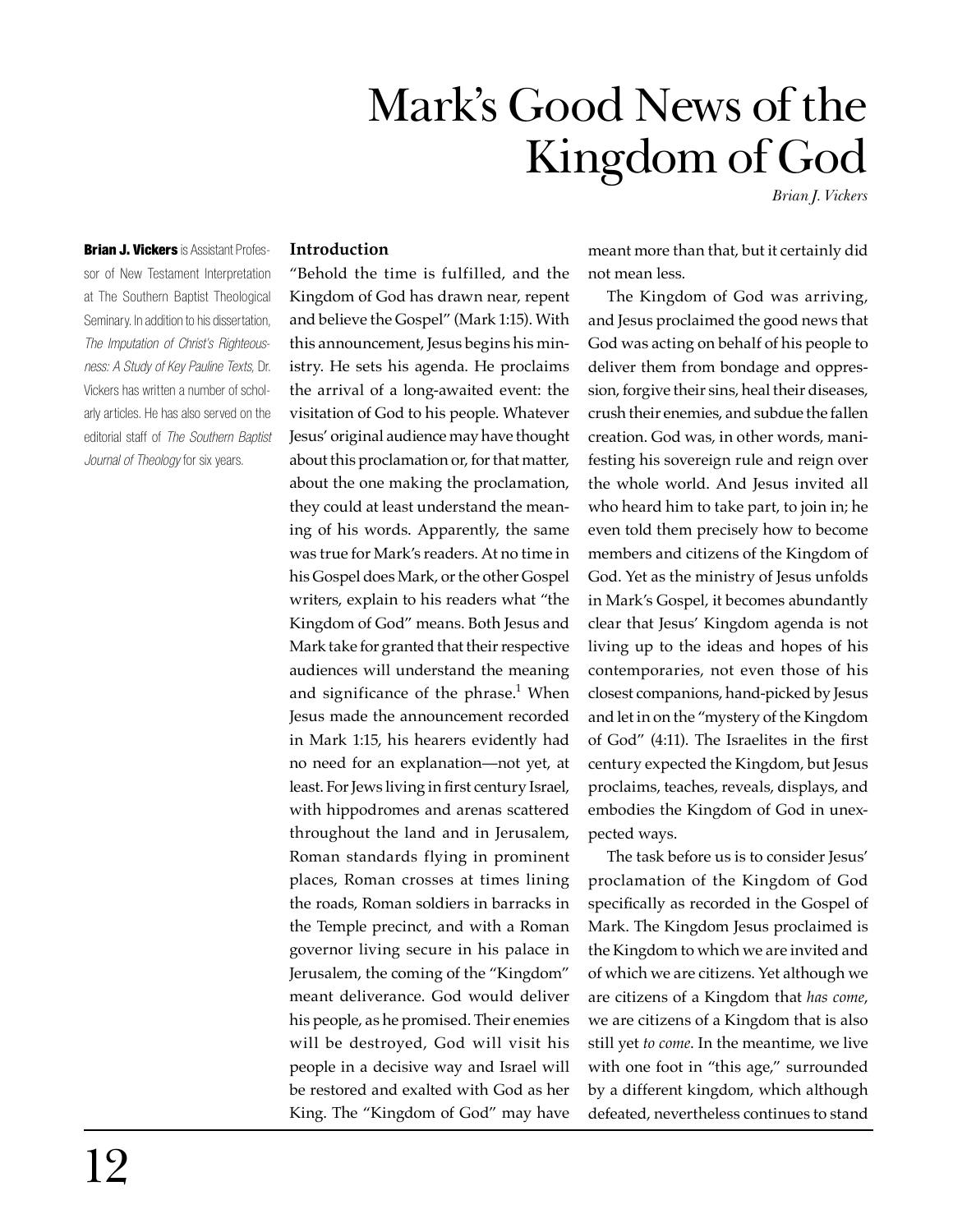# Mark's Good News of the Kingdom of God

*Brian J. Vickers*

**Introduction**

"Behold the time is fulfilled, and the Kingdom of God has drawn near, repent and believe the Gospel" (Mark 1:15). With this announcement, Jesus begins his ministry. He sets his agenda. He proclaims the arrival of a long-awaited event: the visitation of God to his people. Whatever Jesus' original audience may have thought about this proclamation or, for that matter, about the one making the proclamation, they could at least understand the meaning of his words. Apparently, the same was true for Mark's readers. At no time in his Gospel does Mark, or the other Gospel writers, explain to his readers what "the Kingdom of God" means. Both Jesus and Mark take for granted that their respective audiences will understand the meaning and significance of the phrase.<sup>1</sup> When Jesus made the announcement recorded in Mark 1:15, his hearers evidently had no need for an explanation—not yet, at least. For Jews living in first century Israel, with hippodromes and arenas scattered throughout the land and in Jerusalem, Roman standards flying in prominent places, Roman crosses at times lining the roads, Roman soldiers in barracks in the Temple precinct, and with a Roman governor living secure in his palace in Jerusalem, the coming of the "Kingdom" meant deliverance. God would deliver his people, as he promised. Their enemies will be destroyed, God will visit his people in a decisive way and Israel will be restored and exalted with God as her King. The "Kingdom of God" may have

meant more than that, but it certainly did not mean less.

The Kingdom of God was arriving, and Jesus proclaimed the good news that God was acting on behalf of his people to deliver them from bondage and oppression, forgive their sins, heal their diseases, crush their enemies, and subdue the fallen creation. God was, in other words, manifesting his sovereign rule and reign over the whole world. And Jesus invited all who heard him to take part, to join in; he even told them precisely how to become members and citizens of the Kingdom of God. Yet as the ministry of Jesus unfolds in Mark's Gospel, it becomes abundantly clear that Jesus' Kingdom agenda is not living up to the ideas and hopes of his contemporaries, not even those of his closest companions, hand-picked by Jesus and let in on the "mystery of the Kingdom of God" (4:11). The Israelites in the first century expected the Kingdom, but Jesus proclaims, teaches, reveals, displays, and embodies the Kingdom of God in unexpected ways.

The task before us is to consider Jesus' proclamation of the Kingdom of God specifically as recorded in the Gospel of Mark. The Kingdom Jesus proclaimed is the Kingdom to which we are invited and of which we are citizens. Yet although we are citizens of a Kingdom that *has come*, we are citizens of a Kingdom that is also still yet *to come*. In the meantime, we live with one foot in "this age," surrounded by a different kingdom, which although defeated, nevertheless continues to stand

**Brian J. Vickers** is Assistant Professor of New Testament Interpretation at The Southern Baptist Theological Seminary. In addition to his dissertation, *The Imputation of Christ's Righteousness: A Study of Key Pauline Texts,* Dr. Vickers has written a number of scholarly articles. He has also served on the editorial staff of *The Southern Baptist Journal of Theology* for six years.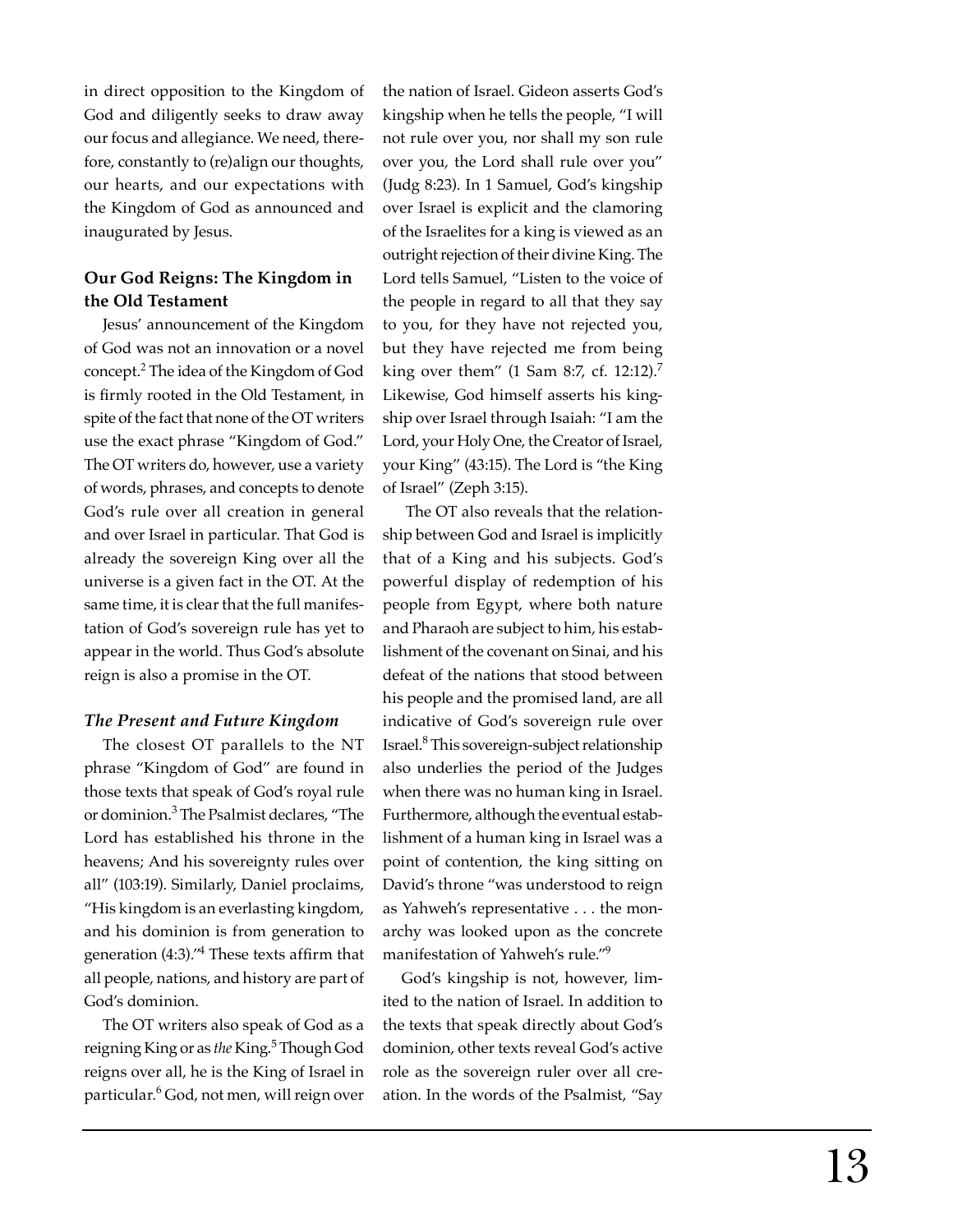in direct opposition to the Kingdom of God and diligently seeks to draw away our focus and allegiance. We need, therefore, constantly to (re)align our thoughts, our hearts, and our expectations with the Kingdom of God as announced and inaugurated by Jesus.

# **Our God Reigns: The Kingdom in the Old Testament**

Jesus' announcement of the Kingdom of God was not an innovation or a novel concept.<sup>2</sup> The idea of the Kingdom of God is firmly rooted in the Old Testament, in spite of the fact that none of the OT writers use the exact phrase "Kingdom of God." The OT writers do, however, use a variety of words, phrases, and concepts to denote God's rule over all creation in general and over Israel in particular. That God is already the sovereign King over all the universe is a given fact in the OT. At the same time, it is clear that the full manifestation of God's sovereign rule has yet to appear in the world. Thus God's absolute reign is also a promise in the OT.

## *The Present and Future Kingdom*

The closest OT parallels to the NT phrase "Kingdom of God" are found in those texts that speak of God's royal rule or dominion.<sup>3</sup> The Psalmist declares, "The Lord has established his throne in the heavens; And his sovereignty rules over all" (103:19). Similarly, Daniel proclaims, "His kingdom is an everlasting kingdom, and his dominion is from generation to generation  $(4:3)$ ." $4$  These texts affirm that all people, nations, and history are part of God's dominion.

The OT writers also speak of God as a reigning King or as *the* King.5 Though God reigns over all, he is the King of Israel in particular.<sup>6</sup> God, not men, will reign over the nation of Israel. Gideon asserts God's kingship when he tells the people, "I will not rule over you, nor shall my son rule over you, the Lord shall rule over you" (Judg 8:23). In 1 Samuel, God's kingship over Israel is explicit and the clamoring of the Israelites for a king is viewed as an outright rejection of their divine King. The Lord tells Samuel, "Listen to the voice of the people in regard to all that they say to you, for they have not rejected you, but they have rejected me from being king over them" (1 Sam 8:7, cf. 12:12).<sup>7</sup> Likewise, God himself asserts his kingship over Israel through Isaiah: "I am the Lord, your Holy One, the Creator of Israel, your King" (43:15). The Lord is "the King of Israel" (Zeph 3:15).

 The OT also reveals that the relationship between God and Israel is implicitly that of a King and his subjects. God's powerful display of redemption of his people from Egypt, where both nature and Pharaoh are subject to him, his establishment of the covenant on Sinai, and his defeat of the nations that stood between his people and the promised land, are all indicative of God's sovereign rule over Israel.8 This sovereign-subject relationship also underlies the period of the Judges when there was no human king in Israel. Furthermore, although the eventual establishment of a human king in Israel was a point of contention, the king sitting on David's throne "was understood to reign as Yahweh's representative . . . the monarchy was looked upon as the concrete manifestation of Yahweh's rule."9

God's kingship is not, however, limited to the nation of Israel. In addition to the texts that speak directly about God's dominion, other texts reveal God's active role as the sovereign ruler over all creation. In the words of the Psalmist, "Say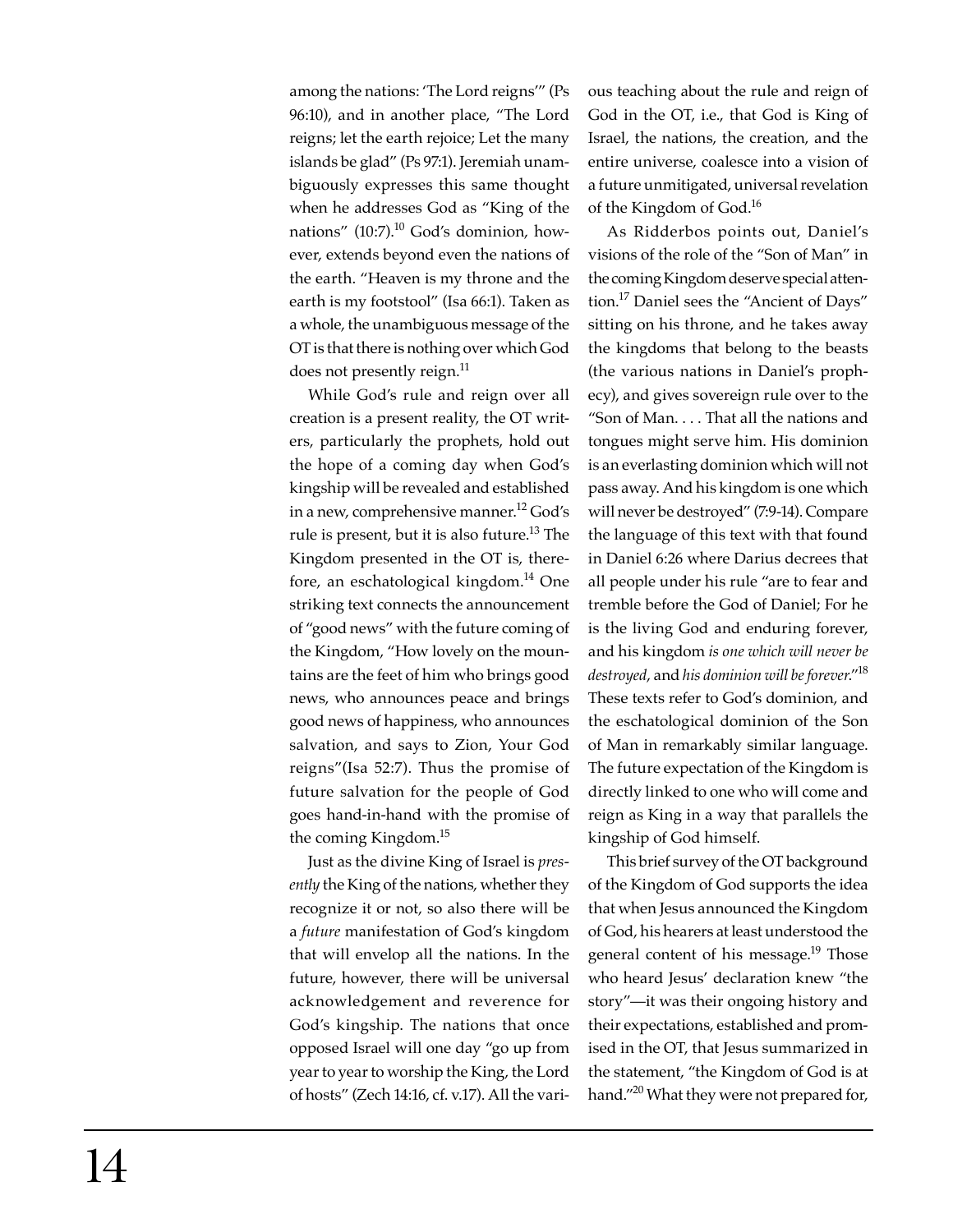among the nations: 'The Lord reigns'" (Ps 96:10), and in another place, "The Lord reigns; let the earth rejoice; Let the many islands be glad" (Ps 97:1). Jeremiah unambiguously expresses this same thought when he addresses God as "King of the nations"  $(10:7).^{10}$  God's dominion, however, extends beyond even the nations of the earth. "Heaven is my throne and the earth is my footstool" (Isa 66:1). Taken as a whole, the unambiguous message of the OT is that there is nothing over which God does not presently reign.<sup>11</sup>

While God's rule and reign over all creation is a present reality, the OT writers, particularly the prophets, hold out the hope of a coming day when God's kingship will be revealed and established in a new, comprehensive manner.<sup>12</sup> God's rule is present, but it is also future.<sup>13</sup> The Kingdom presented in the OT is, therefore, an eschatological kingdom. $^{14}$  One striking text connects the announcement of "good news" with the future coming of the Kingdom, "How lovely on the mountains are the feet of him who brings good news, who announces peace and brings good news of happiness, who announces salvation, and says to Zion, Your God reigns"(Isa 52:7). Thus the promise of future salvation for the people of God goes hand-in-hand with the promise of the coming Kingdom.15

Just as the divine King of Israel is *presently* the King of the nations, whether they recognize it or not, so also there will be a *future* manifestation of God's kingdom that will envelop all the nations. In the future, however, there will be universal acknowledgement and reverence for God's kingship. The nations that once opposed Israel will one day "go up from year to year to worship the King, the Lord of hosts" (Zech 14:16, cf. v.17). All the various teaching about the rule and reign of God in the OT, i.e., that God is King of Israel, the nations, the creation, and the entire universe, coalesce into a vision of a future unmitigated, universal revelation of the Kingdom of God.<sup>16</sup>

As Ridderbos points out, Daniel's visions of the role of the "Son of Man" in the coming Kingdom deserve special attention.17 Daniel sees the "Ancient of Days" sitting on his throne, and he takes away the kingdoms that belong to the beasts (the various nations in Daniel's prophecy), and gives sovereign rule over to the "Son of Man. . . . That all the nations and tongues might serve him. His dominion is an everlasting dominion which will not pass away. And his kingdom is one which will never be destroyed" (7:9-14). Compare the language of this text with that found in Daniel 6:26 where Darius decrees that all people under his rule "are to fear and tremble before the God of Daniel; For he is the living God and enduring forever, and his kingdom *is one which will never be destroyed*, and *his dominion will be forever*."18 These texts refer to God's dominion, and the eschatological dominion of the Son of Man in remarkably similar language. The future expectation of the Kingdom is directly linked to one who will come and reign as King in a way that parallels the kingship of God himself.

This brief survey of the OT background of the Kingdom of God supports the idea that when Jesus announced the Kingdom of God, his hearers at least understood the general content of his message.<sup>19</sup> Those who heard Jesus' declaration knew "the story"—it was their ongoing history and their expectations, established and promised in the OT, that Jesus summarized in the statement, "the Kingdom of God is at hand."<sup>20</sup> What they were not prepared for,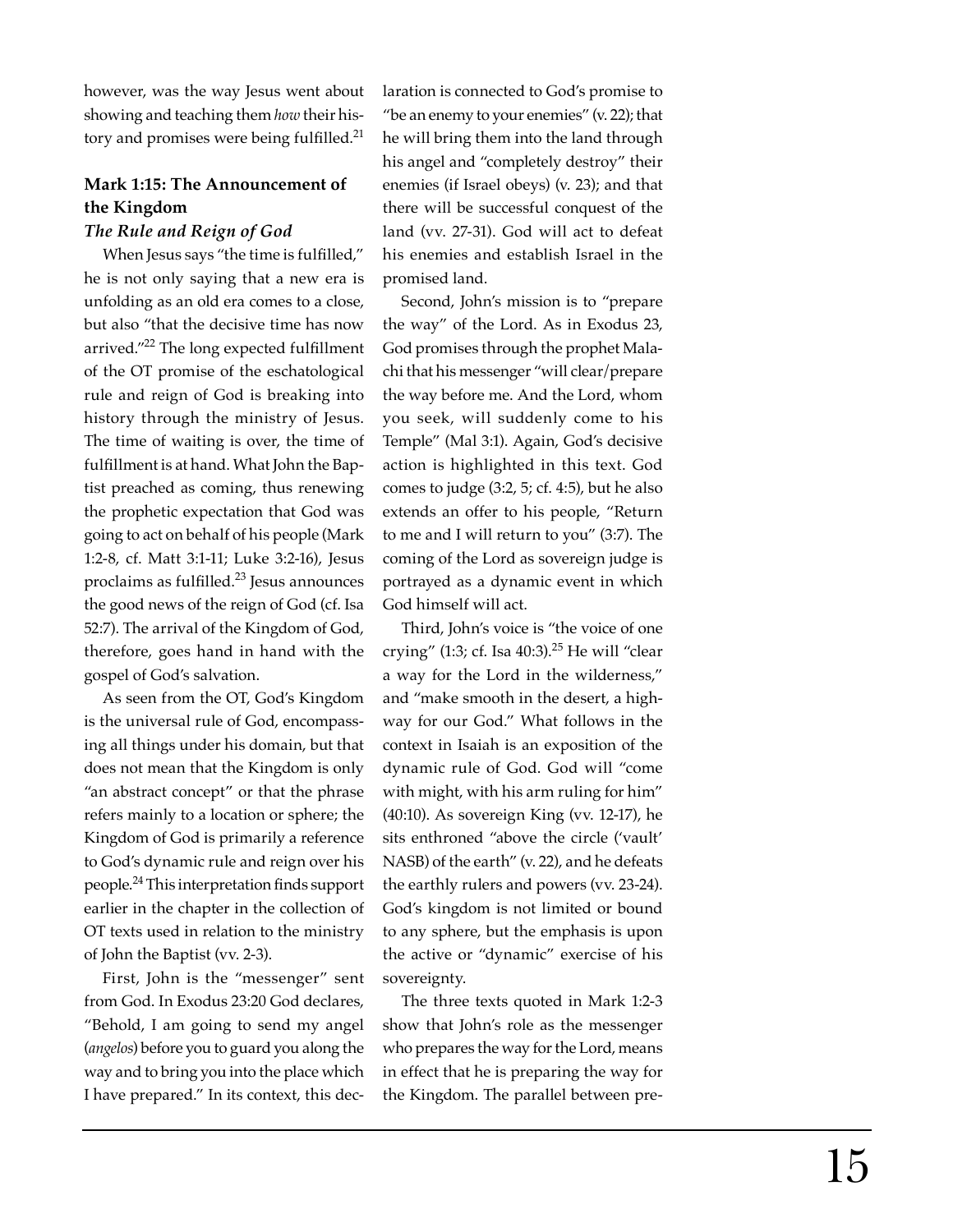however, was the way Jesus went about showing and teaching them *how* their history and promises were being fulfilled.<sup>21</sup>

# **Mark 1:15: The Announcement of the Kingdom**

## *The Rule and Reign of God*

When Jesus says "the time is fulfilled," he is not only saying that a new era is unfolding as an old era comes to a close, but also "that the decisive time has now arrived." $^{22}$  The long expected fulfillment of the OT promise of the eschatological rule and reign of God is breaking into history through the ministry of Jesus. The time of waiting is over, the time of fulfillment is at hand. What John the Baptist preached as coming, thus renewing the prophetic expectation that God was going to act on behalf of his people (Mark 1:2-8, cf. Matt 3:1-11; Luke 3:2-16), Jesus proclaims as fulfilled. $23$  Jesus announces the good news of the reign of God (cf. Isa 52:7). The arrival of the Kingdom of God, therefore, goes hand in hand with the gospel of God's salvation.

As seen from the OT, God's Kingdom is the universal rule of God, encompassing all things under his domain, but that does not mean that the Kingdom is only "an abstract concept" or that the phrase refers mainly to a location or sphere; the Kingdom of God is primarily a reference to God's dynamic rule and reign over his people.<sup>24</sup> This interpretation finds support earlier in the chapter in the collection of OT texts used in relation to the ministry of John the Baptist (vv. 2-3).

First, John is the "messenger" sent from God. In Exodus 23:20 God declares, "Behold, I am going to send my angel (*angelos*) before you to guard you along the way and to bring you into the place which I have prepared." In its context, this declaration is connected to God's promise to "be an enemy to your enemies" (v. 22); that he will bring them into the land through his angel and "completely destroy" their enemies (if Israel obeys) (v. 23); and that there will be successful conquest of the land (vv. 27-31). God will act to defeat his enemies and establish Israel in the promised land.

Second, John's mission is to "prepare the way" of the Lord. As in Exodus 23, God promises through the prophet Malachi that his messenger "will clear/prepare the way before me. And the Lord, whom you seek, will suddenly come to his Temple" (Mal 3:1). Again, God's decisive action is highlighted in this text. God comes to judge (3:2, 5; cf. 4:5), but he also extends an offer to his people, "Return to me and I will return to you" (3:7). The coming of the Lord as sovereign judge is portrayed as a dynamic event in which God himself will act.

Third, John's voice is "the voice of one crying" (1:3; cf. Isa  $40:3$ ).<sup>25</sup> He will "clear a way for the Lord in the wilderness," and "make smooth in the desert, a highway for our God." What follows in the context in Isaiah is an exposition of the dynamic rule of God. God will "come with might, with his arm ruling for him" (40:10). As sovereign King (vv. 12-17), he sits enthroned "above the circle ('vault' NASB) of the earth" (v. 22), and he defeats the earthly rulers and powers (vv. 23-24). God's kingdom is not limited or bound to any sphere, but the emphasis is upon the active or "dynamic" exercise of his sovereignty.

The three texts quoted in Mark 1:2-3 show that John's role as the messenger who prepares the way for the Lord, means in effect that he is preparing the way for the Kingdom. The parallel between pre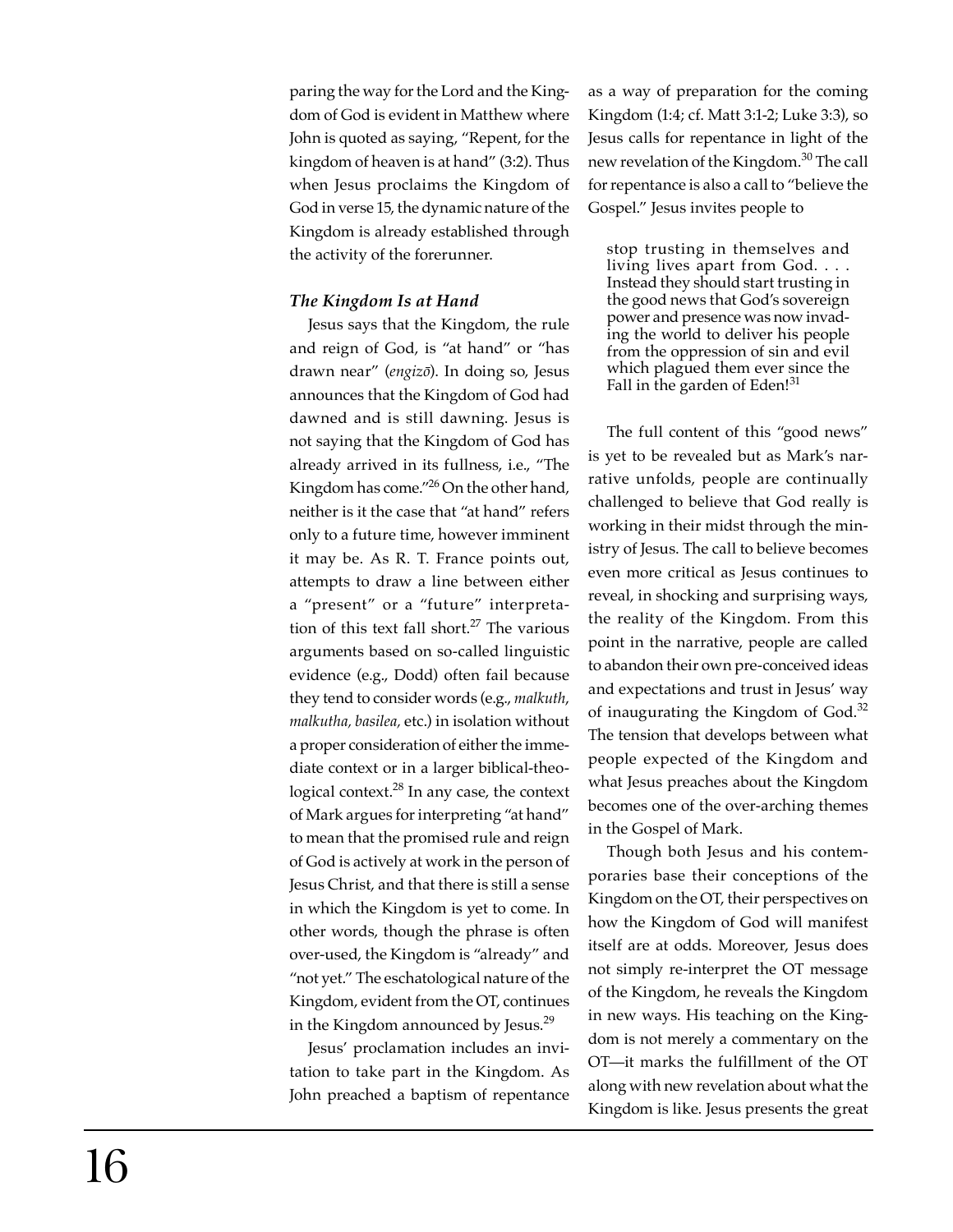paring the way for the Lord and the Kingdom of God is evident in Matthew where John is quoted as saying, "Repent, for the kingdom of heaven is at hand" (3:2). Thus when Jesus proclaims the Kingdom of God in verse 15, the dynamic nature of the Kingdom is already established through the activity of the forerunner.

# *The Kingdom Is at Hand*

Jesus says that the Kingdom, the rule and reign of God, is "at hand" or "has drawn near" (*engiz ō*). In doing so, Jesus announces that the Kingdom of God had dawned and is still dawning. Jesus is not saying that the Kingdom of God has already arrived in its fullness, i.e., "The Kingdom has come."26 On the other hand, neither is it the case that "at hand" refers only to a future time, however imminent it may be. As R. T. France points out, attempts to draw a line between either a "present" or a "future" interpretation of this text fall short. $27$  The various arguments based on so-called linguistic evidence (e.g., Dodd) often fail because they tend to consider words (e.g., *malkuth*, *malkutha, basilea,* etc.) in isolation without a proper consideration of either the immediate context or in a larger biblical-theological context.<sup>28</sup> In any case, the context of Mark argues for interpreting "at hand" to mean that the promised rule and reign of God is actively at work in the person of Jesus Christ, and that there is still a sense in which the Kingdom is yet to come. In other words, though the phrase is often over-used, the Kingdom is "already" and "not yet." The eschatological nature of the Kingdom, evident from the OT, continues in the Kingdom announced by Jesus.<sup>29</sup>

Jesus' proclamation includes an invitation to take part in the Kingdom. As John preached a baptism of repentance as a way of preparation for the coming Kingdom (1:4; cf. Matt 3:1-2; Luke 3:3), so Jesus calls for repentance in light of the new revelation of the Kingdom.<sup>30</sup> The call for repentance is also a call to "believe the Gospel." Jesus invites people to

stop trusting in themselves and living lives apart from God. . . . Instead they should start trusting in the good news that God's sovereign power and presence was now invading the world to deliver his people from the oppression of sin and evil which plagued them ever since the Fall in the garden of Eden! $31$ 

The full content of this "good news" is yet to be revealed but as Mark's narrative unfolds, people are continually challenged to believe that God really is working in their midst through the ministry of Jesus. The call to believe becomes even more critical as Jesus continues to reveal, in shocking and surprising ways, the reality of the Kingdom. From this point in the narrative, people are called to abandon their own pre-conceived ideas and expectations and trust in Jesus' way of inaugurating the Kingdom of God.<sup>32</sup> The tension that develops between what people expected of the Kingdom and what Jesus preaches about the Kingdom becomes one of the over-arching themes in the Gospel of Mark.

Though both Jesus and his contemporaries base their conceptions of the Kingdom on the OT, their perspectives on how the Kingdom of God will manifest itself are at odds. Moreover, Jesus does not simply re-interpret the OT message of the Kingdom, he reveals the Kingdom in new ways. His teaching on the Kingdom is not merely a commentary on the OT—it marks the fulfillment of the OT along with new revelation about what the Kingdom is like. Jesus presents the great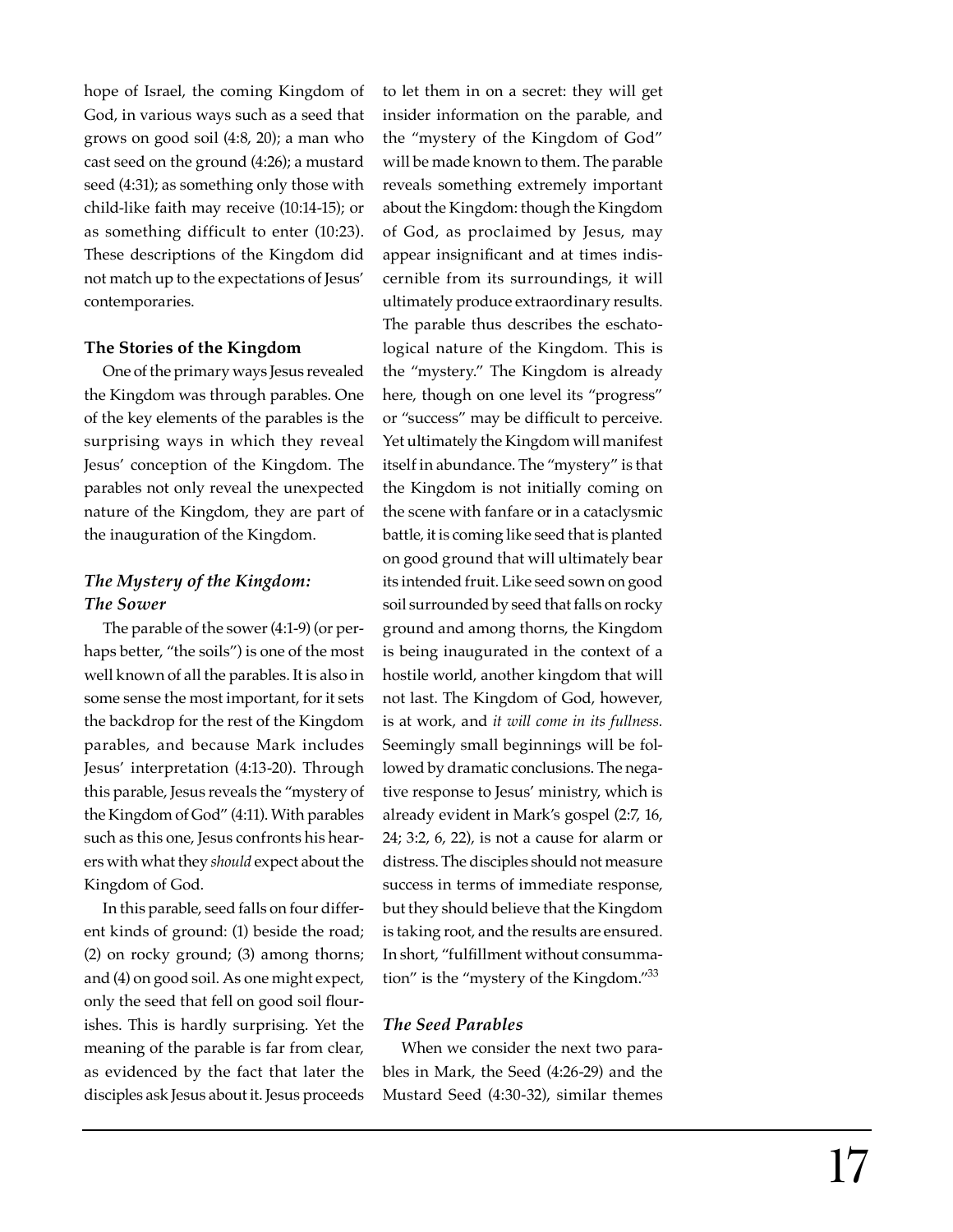hope of Israel, the coming Kingdom of God, in various ways such as a seed that grows on good soil (4:8, 20); a man who cast seed on the ground (4:26); a mustard seed (4:31); as something only those with child-like faith may receive (10:14-15); or as something difficult to enter (10:23). These descriptions of the Kingdom did not match up to the expectations of Jesus' contemporaries.

#### **The Stories of the Kingdom**

One of the primary ways Jesus revealed the Kingdom was through parables. One of the key elements of the parables is the surprising ways in which they reveal Jesus' conception of the Kingdom. The parables not only reveal the unexpected nature of the Kingdom, they are part of the inauguration of the Kingdom.

# *The Mystery of the Kingdom: The Sower*

The parable of the sower (4:1-9) (or perhaps better, "the soils") is one of the most well known of all the parables. It is also in some sense the most important, for it sets the backdrop for the rest of the Kingdom parables, and because Mark includes Jesus' interpretation (4:13-20). Through this parable, Jesus reveals the "mystery of the Kingdom of God" (4:11). With parables such as this one, Jesus confronts his hearers with what they *should* expect about the Kingdom of God.

In this parable, seed falls on four different kinds of ground: (1) beside the road; (2) on rocky ground; (3) among thorns; and (4) on good soil. As one might expect, only the seed that fell on good soil flourishes. This is hardly surprising. Yet the meaning of the parable is far from clear, as evidenced by the fact that later the disciples ask Jesus about it. Jesus proceeds

to let them in on a secret: they will get insider information on the parable, and the "mystery of the Kingdom of God" will be made known to them. The parable reveals something extremely important about the Kingdom: though the Kingdom of God, as proclaimed by Jesus, may appear insignificant and at times indiscernible from its surroundings, it will ultimately produce extraordinary results. The parable thus describes the eschatological nature of the Kingdom. This is the "mystery." The Kingdom is already here, though on one level its "progress" or "success" may be difficult to perceive. Yet ultimately the Kingdom will manifest itself in abundance. The "mystery" is that the Kingdom is not initially coming on the scene with fanfare or in a cataclysmic battle, it is coming like seed that is planted on good ground that will ultimately bear its intended fruit. Like seed sown on good soil surrounded by seed that falls on rocky ground and among thorns, the Kingdom is being inaugurated in the context of a hostile world, another kingdom that will not last. The Kingdom of God, however, is at work, and *it will come in its fullness.* Seemingly small beginnings will be followed by dramatic conclusions. The negative response to Jesus' ministry, which is already evident in Mark's gospel (2:7, 16, 24; 3:2, 6, 22), is not a cause for alarm or distress. The disciples should not measure success in terms of immediate response, but they should believe that the Kingdom is taking root, and the results are ensured. In short, "fulfillment without consummation" is the "mystery of the Kingdom."<sup>33</sup>

# *The Seed Parables*

When we consider the next two parables in Mark, the Seed (4:26-29) and the Mustard Seed (4:30-32), similar themes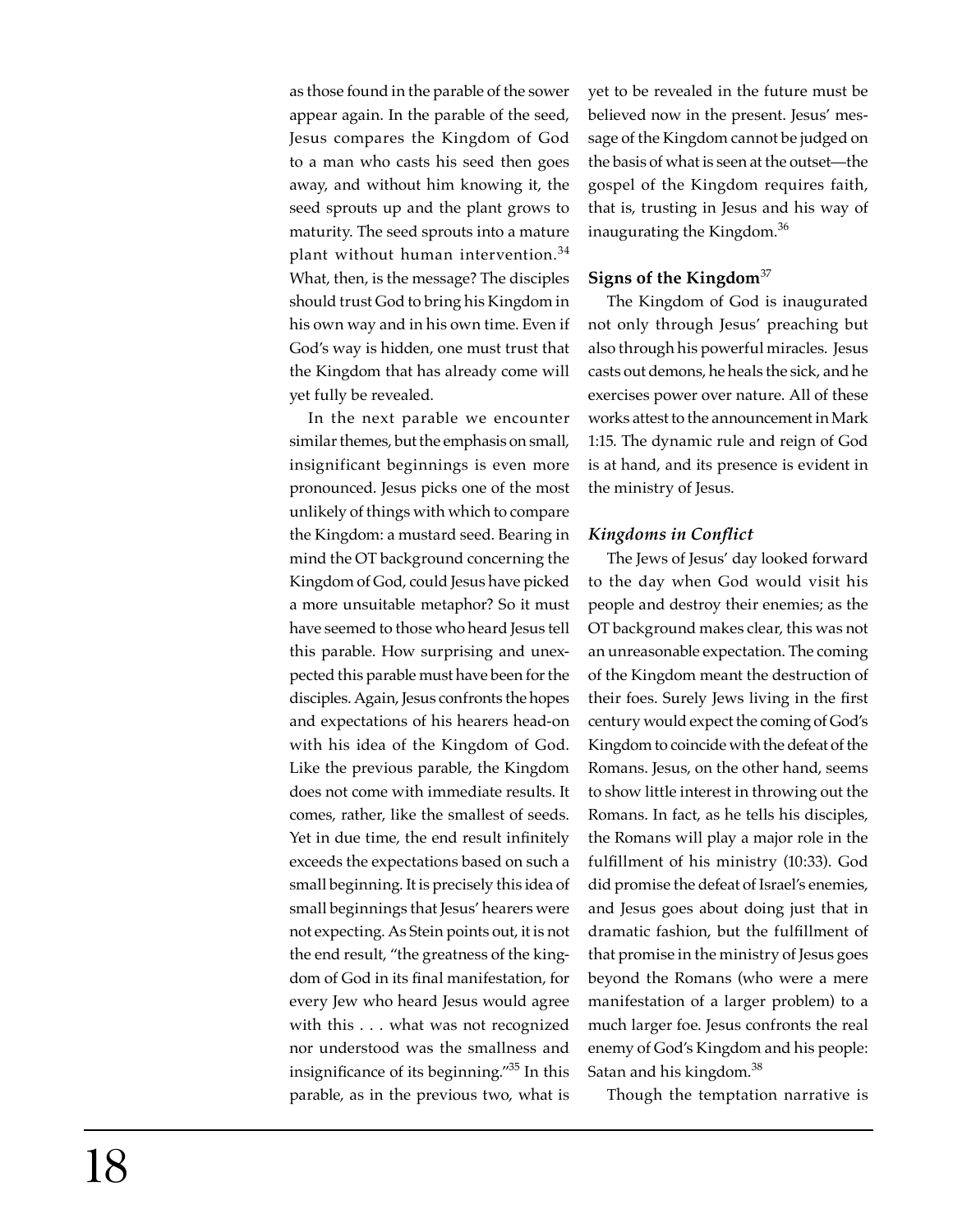as those found in the parable of the sower appear again. In the parable of the seed, Jesus compares the Kingdom of God to a man who casts his seed then goes away, and without him knowing it, the seed sprouts up and the plant grows to maturity. The seed sprouts into a mature plant without human intervention.<sup>34</sup> What, then, is the message? The disciples should trust God to bring his Kingdom in his own way and in his own time. Even if God's way is hidden, one must trust that the Kingdom that has already come will yet fully be revealed.

In the next parable we encounter similar themes, but the emphasis on small, insignificant beginnings is even more pronounced. Jesus picks one of the most unlikely of things with which to compare the Kingdom: a mustard seed. Bearing in mind the OT background concerning the Kingdom of God, could Jesus have picked a more unsuitable metaphor? So it must have seemed to those who heard Jesus tell this parable. How surprising and unexpected this parable must have been for the disciples. Again, Jesus confronts the hopes and expectations of his hearers head-on with his idea of the Kingdom of God. Like the previous parable, the Kingdom does not come with immediate results. It comes, rather, like the smallest of seeds. Yet in due time, the end result infinitely exceeds the expectations based on such a small beginning. It is precisely this idea of small beginnings that Jesus' hearers were not expecting. As Stein points out, it is not the end result, "the greatness of the kingdom of God in its final manifestation, for every Jew who heard Jesus would agree with this . . . what was not recognized nor understood was the smallness and insignificance of its beginning. $135$  In this parable, as in the previous two, what is yet to be revealed in the future must be believed now in the present. Jesus' message of the Kingdom cannot be judged on the basis of what is seen at the outset—the gospel of the Kingdom requires faith, that is, trusting in Jesus and his way of inaugurating the Kingdom.<sup>36</sup>

## **Signs of the Kingdom**<sup>37</sup>

The Kingdom of God is inaugurated not only through Jesus' preaching but also through his powerful miracles. Jesus casts out demons, he heals the sick, and he exercises power over nature. All of these works attest to the announcement in Mark 1:15. The dynamic rule and reign of God is at hand, and its presence is evident in the ministry of Jesus.

## *Kingdoms in Conflict*

The Jews of Jesus' day looked forward to the day when God would visit his people and destroy their enemies; as the OT background makes clear, this was not an unreasonable expectation. The coming of the Kingdom meant the destruction of their foes. Surely Jews living in the first century would expect the coming of God's Kingdom to coincide with the defeat of the Romans. Jesus, on the other hand, seems to show little interest in throwing out the Romans. In fact, as he tells his disciples, the Romans will play a major role in the fulfillment of his ministry (10:33). God did promise the defeat of Israel's enemies, and Jesus goes about doing just that in dramatic fashion, but the fulfillment of that promise in the ministry of Jesus goes beyond the Romans (who were a mere manifestation of a larger problem) to a much larger foe. Jesus confronts the real enemy of God's Kingdom and his people: Satan and his kingdom.<sup>38</sup>

Though the temptation narrative is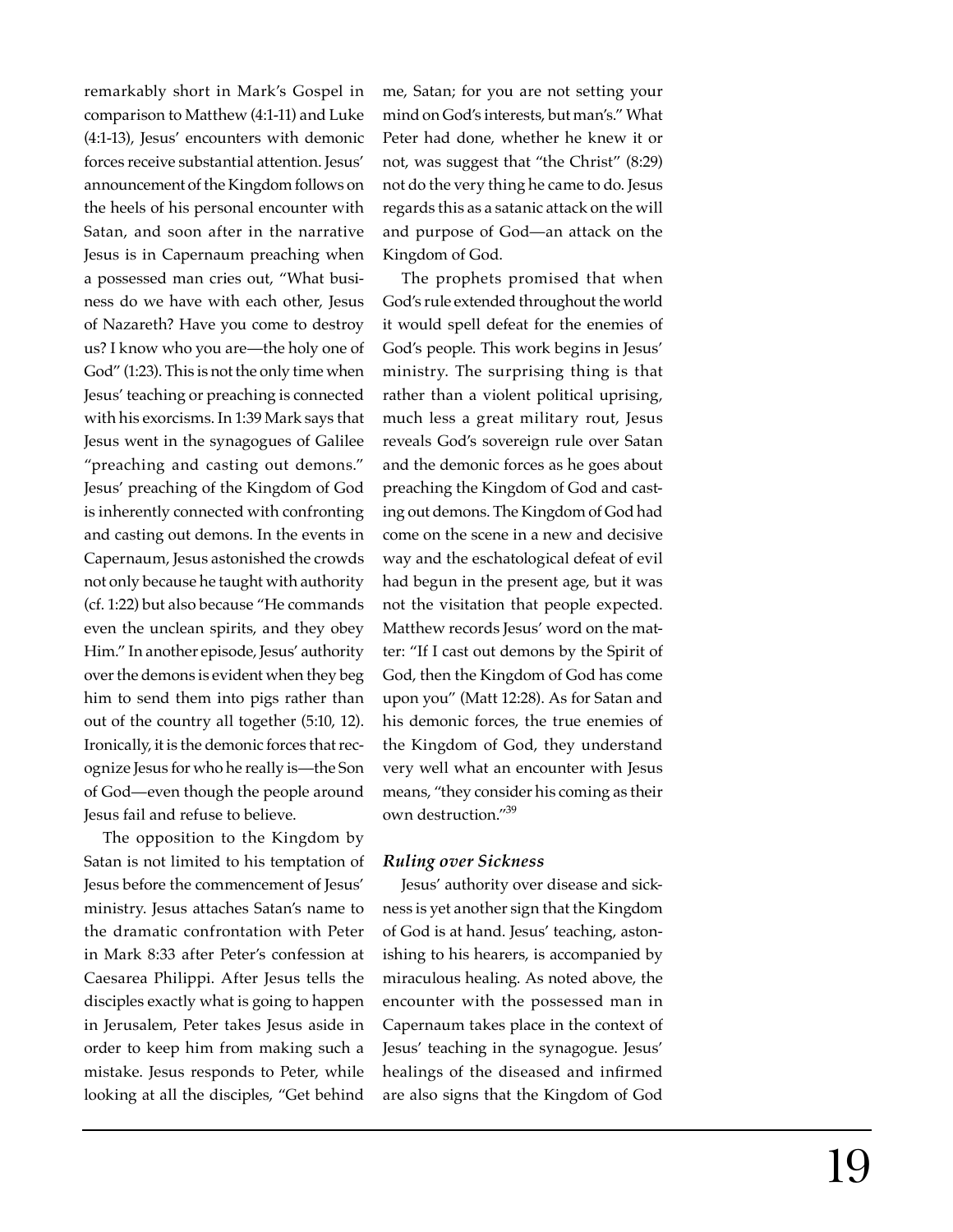remarkably short in Mark's Gospel in comparison to Matthew (4:1-11) and Luke (4:1-13), Jesus' encounters with demonic forces receive substantial attention. Jesus' announcement of the Kingdom follows on the heels of his personal encounter with Satan, and soon after in the narrative Jesus is in Capernaum preaching when a possessed man cries out, "What business do we have with each other, Jesus of Nazareth? Have you come to destroy us? I know who you are—the holy one of God" (1:23). This is not the only time when Jesus' teaching or preaching is connected with his exorcisms. In 1:39 Mark says that Jesus went in the synagogues of Galilee "preaching and casting out demons." Jesus' preaching of the Kingdom of God is inherently connected with confronting and casting out demons. In the events in Capernaum, Jesus astonished the crowds not only because he taught with authority (cf. 1:22) but also because "He commands even the unclean spirits, and they obey Him." In another episode, Jesus' authority over the demons is evident when they beg him to send them into pigs rather than out of the country all together (5:10, 12). Ironically, it is the demonic forces that recognize Jesus for who he really is—the Son of God—even though the people around Jesus fail and refuse to believe.

The opposition to the Kingdom by Satan is not limited to his temptation of Jesus before the commencement of Jesus' ministry. Jesus attaches Satan's name to the dramatic confrontation with Peter in Mark 8:33 after Peter's confession at Caesarea Philippi. After Jesus tells the disciples exactly what is going to happen in Jerusalem, Peter takes Jesus aside in order to keep him from making such a mistake. Jesus responds to Peter, while looking at all the disciples, "Get behind

me, Satan; for you are not setting your mind on God's interests, but man's." What Peter had done, whether he knew it or not, was suggest that "the Christ" (8:29) not do the very thing he came to do. Jesus regards this as a satanic attack on the will and purpose of God—an attack on the Kingdom of God.

The prophets promised that when God's rule extended throughout the world it would spell defeat for the enemies of God's people. This work begins in Jesus' ministry. The surprising thing is that rather than a violent political uprising, much less a great military rout, Jesus reveals God's sovereign rule over Satan and the demonic forces as he goes about preaching the Kingdom of God and casting out demons. The Kingdom of God had come on the scene in a new and decisive way and the eschatological defeat of evil had begun in the present age, but it was not the visitation that people expected. Matthew records Jesus' word on the matter: "If I cast out demons by the Spirit of God, then the Kingdom of God has come upon you" (Matt 12:28). As for Satan and his demonic forces, the true enemies of the Kingdom of God, they understand very well what an encounter with Jesus means, "they consider his coming as their own destruction."39

## *Ruling over Sickness*

Jesus' authority over disease and sickness is yet another sign that the Kingdom of God is at hand. Jesus' teaching, astonishing to his hearers, is accompanied by miraculous healing. As noted above, the encounter with the possessed man in Capernaum takes place in the context of Jesus' teaching in the synagogue. Jesus' healings of the diseased and infirmed are also signs that the Kingdom of God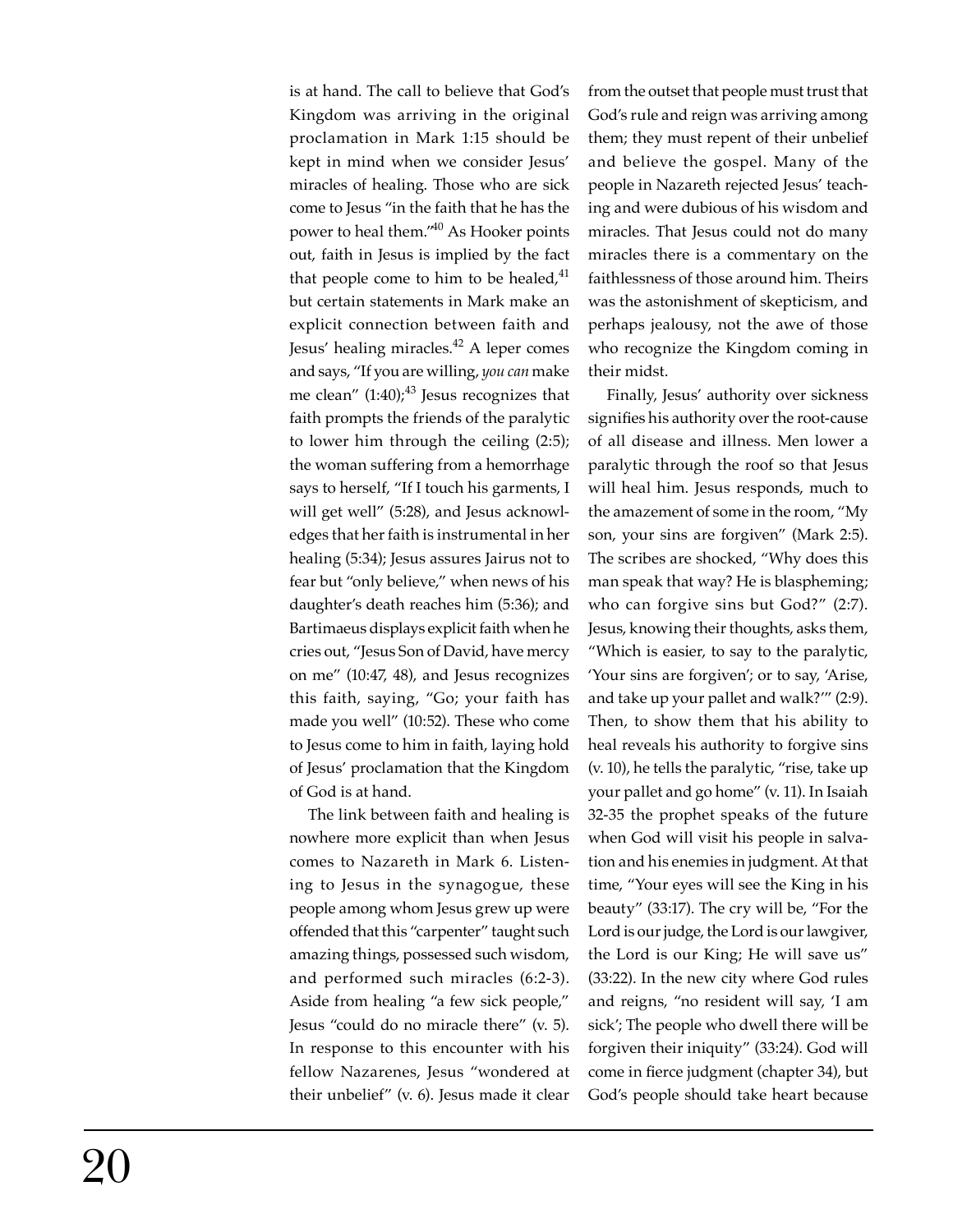is at hand. The call to believe that God's Kingdom was arriving in the original proclamation in Mark 1:15 should be kept in mind when we consider Jesus' miracles of healing. Those who are sick come to Jesus "in the faith that he has the power to heal them."40 As Hooker points out, faith in Jesus is implied by the fact that people come to him to be healed, $41$ but certain statements in Mark make an explicit connection between faith and Jesus' healing miracles.<sup>42</sup> A leper comes and says, "If you are willing, *you can* make me clean"  $(1:40)$ <sup>43</sup> Jesus recognizes that faith prompts the friends of the paralytic to lower him through the ceiling (2:5); the woman suffering from a hemorrhage says to herself, "If I touch his garments, I will get well" (5:28), and Jesus acknowledges that her faith is instrumental in her healing (5:34); Jesus assures Jairus not to fear but "only believe," when news of his daughter's death reaches him (5:36); and Bartimaeus displays explicit faith when he cries out, "Jesus Son of David, have mercy on me" (10:47, 48), and Jesus recognizes this faith, saying, "Go; your faith has made you well" (10:52). These who come to Jesus come to him in faith, laying hold of Jesus' proclamation that the Kingdom of God is at hand.

The link between faith and healing is nowhere more explicit than when Jesus comes to Nazareth in Mark 6. Listening to Jesus in the synagogue, these people among whom Jesus grew up were offended that this "carpenter" taught such amazing things, possessed such wisdom, and performed such miracles (6:2-3). Aside from healing "a few sick people," Jesus "could do no miracle there" (v. 5). In response to this encounter with his fellow Nazarenes, Jesus "wondered at their unbelief" (v. 6). Jesus made it clear from the outset that people must trust that God's rule and reign was arriving among them; they must repent of their unbelief and believe the gospel. Many of the people in Nazareth rejected Jesus' teaching and were dubious of his wisdom and miracles. That Jesus could not do many miracles there is a commentary on the faithlessness of those around him. Theirs was the astonishment of skepticism, and perhaps jealousy, not the awe of those who recognize the Kingdom coming in their midst.

Finally, Jesus' authority over sickness signifies his authority over the root-cause of all disease and illness. Men lower a paralytic through the roof so that Jesus will heal him. Jesus responds, much to the amazement of some in the room, "My son, your sins are forgiven" (Mark 2:5). The scribes are shocked, "Why does this man speak that way? He is blaspheming; who can forgive sins but God?" (2:7). Jesus, knowing their thoughts, asks them, "Which is easier, to say to the paralytic, 'Your sins are forgiven'; or to say, 'Arise, and take up your pallet and walk?'" (2:9). Then, to show them that his ability to heal reveals his authority to forgive sins (v. 10), he tells the paralytic, "rise, take up your pallet and go home" (v. 11). In Isaiah 32-35 the prophet speaks of the future when God will visit his people in salvation and his enemies in judgment. At that time, "Your eyes will see the King in his beauty" (33:17). The cry will be, "For the Lord is our judge, the Lord is our lawgiver, the Lord is our King; He will save us" (33:22). In the new city where God rules and reigns, "no resident will say, 'I am sick'; The people who dwell there will be forgiven their iniquity" (33:24). God will come in fierce judgment (chapter 34), but God's people should take heart because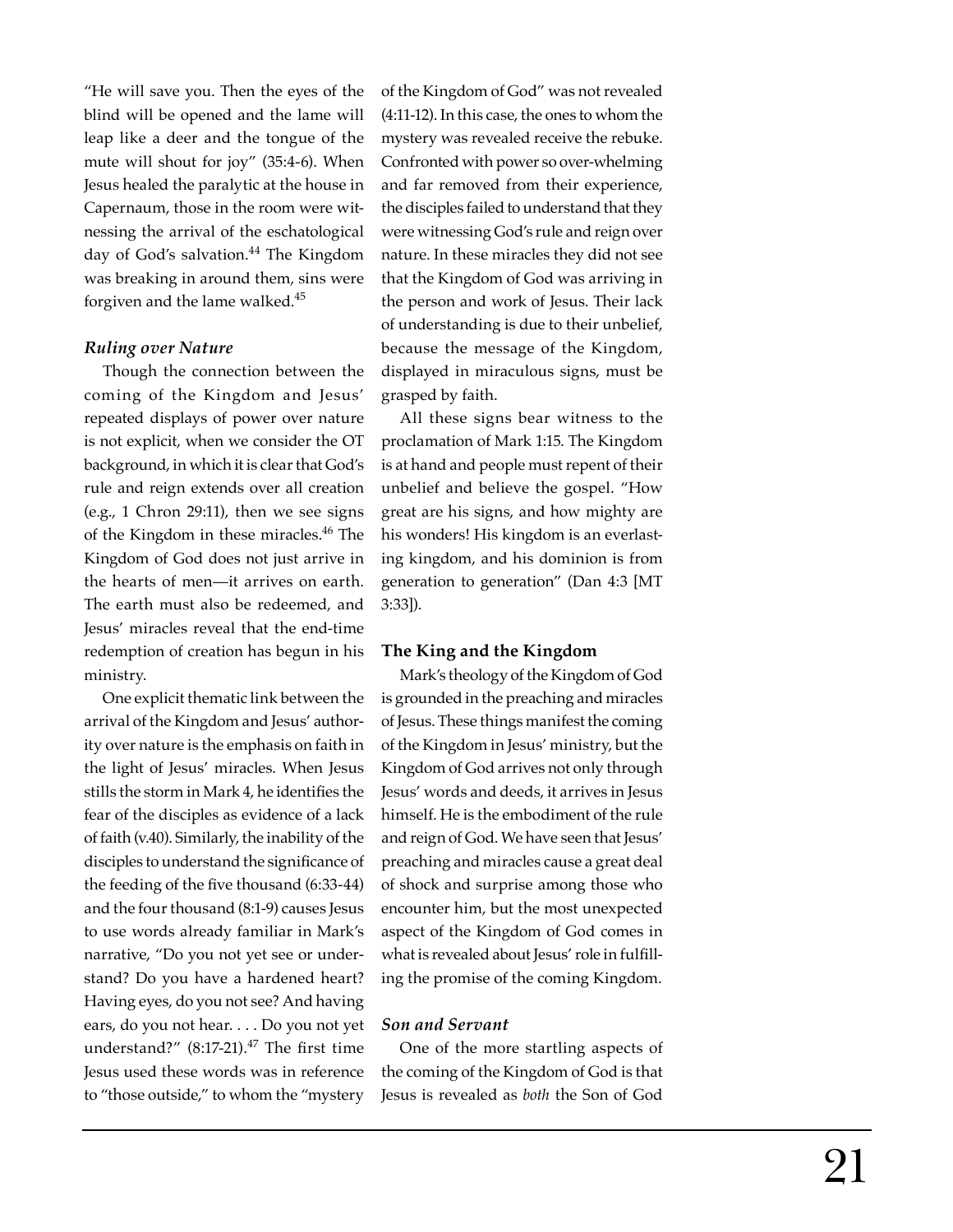"He will save you. Then the eyes of the blind will be opened and the lame will leap like a deer and the tongue of the mute will shout for joy" (35:4-6). When Jesus healed the paralytic at the house in Capernaum, those in the room were witnessing the arrival of the eschatological day of God's salvation.<sup>44</sup> The Kingdom was breaking in around them, sins were forgiven and the lame walked.45

#### *Ruling over Nature*

Though the connection between the coming of the Kingdom and Jesus' repeated displays of power over nature is not explicit, when we consider the OT background, in which it is clear that God's rule and reign extends over all creation (e.g., 1 Chron 29:11), then we see signs of the Kingdom in these miracles.<sup>46</sup> The Kingdom of God does not just arrive in the hearts of men—it arrives on earth. The earth must also be redeemed, and Jesus' miracles reveal that the end-time redemption of creation has begun in his ministry.

One explicit thematic link between the arrival of the Kingdom and Jesus' authority over nature is the emphasis on faith in the light of Jesus' miracles. When Jesus stills the storm in Mark 4, he identifies the fear of the disciples as evidence of a lack of faith (v.40). Similarly, the inability of the disciples to understand the significance of the feeding of the five thousand (6:33-44) and the four thousand (8:1-9) causes Jesus to use words already familiar in Mark's narrative, "Do you not yet see or understand? Do you have a hardened heart? Having eyes, do you not see? And having ears, do you not hear. . . . Do you not yet understand?"  $(8:17-21).^{47}$  The first time Jesus used these words was in reference to "those outside," to whom the "mystery

of the Kingdom of God" was not revealed (4:11-12). In this case, the ones to whom the mystery was revealed receive the rebuke. Confronted with power so over-whelming and far removed from their experience, the disciples failed to understand that they were witnessing God's rule and reign over nature. In these miracles they did not see that the Kingdom of God was arriving in the person and work of Jesus. Their lack of understanding is due to their unbelief, because the message of the Kingdom, displayed in miraculous signs, must be grasped by faith.

All these signs bear witness to the proclamation of Mark 1:15. The Kingdom is at hand and people must repent of their unbelief and believe the gospel. "How great are his signs, and how mighty are his wonders! His kingdom is an everlasting kingdom, and his dominion is from generation to generation" (Dan 4:3 [MT 3:33]).

# **The King and the Kingdom**

Mark's theology of the Kingdom of God is grounded in the preaching and miracles of Jesus. These things manifest the coming of the Kingdom in Jesus' ministry, but the Kingdom of God arrives not only through Jesus' words and deeds, it arrives in Jesus himself. He is the embodiment of the rule and reign of God. We have seen that Jesus' preaching and miracles cause a great deal of shock and surprise among those who encounter him, but the most unexpected aspect of the Kingdom of God comes in what is revealed about Jesus' role in fulfilling the promise of the coming Kingdom.

## *Son and Servant*

One of the more startling aspects of the coming of the Kingdom of God is that Jesus is revealed as *both* the Son of God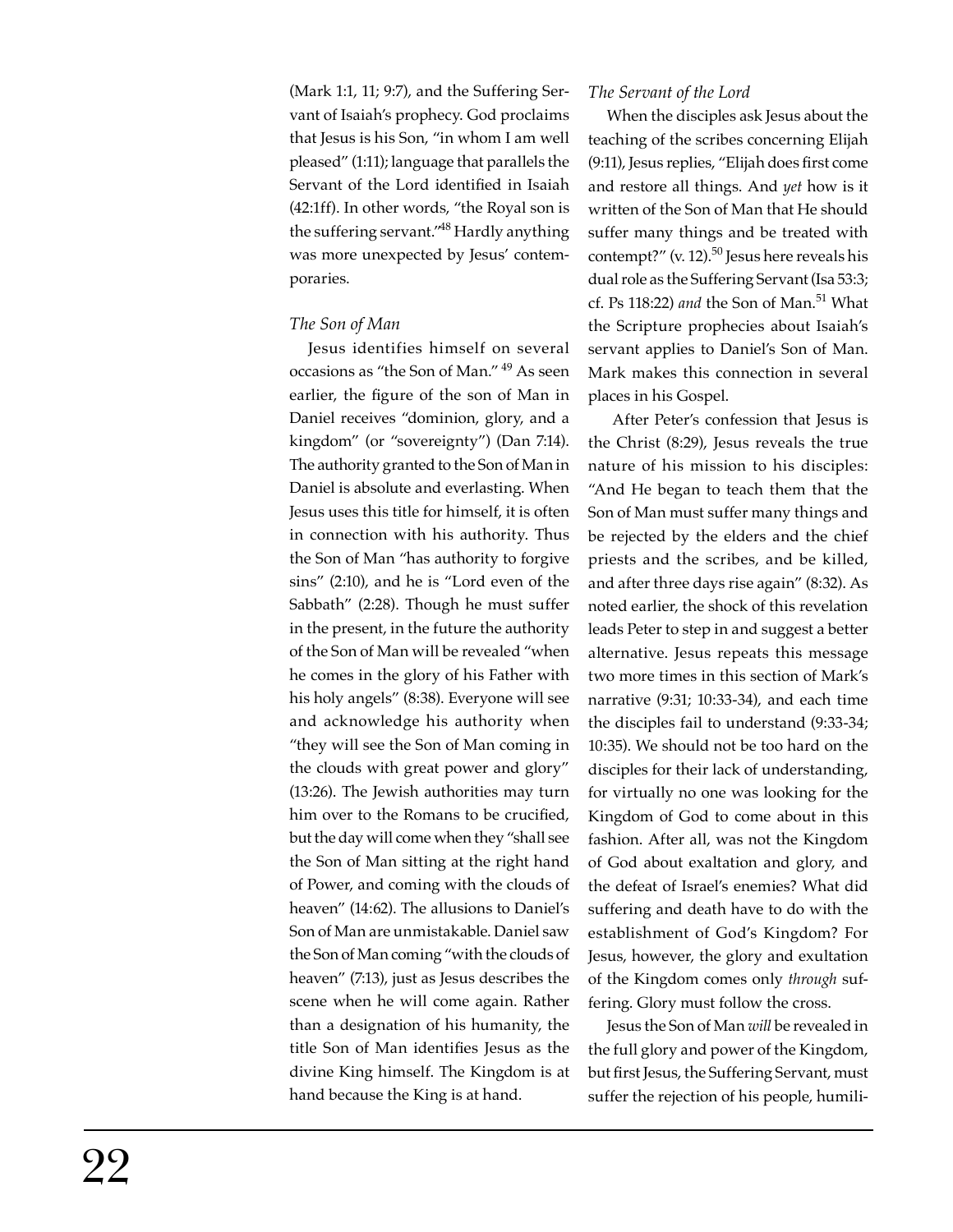(Mark 1:1, 11; 9:7), and the Suffering Servant of Isaiah's prophecy. God proclaims that Jesus is his Son, "in whom I am well pleased" (1:11); language that parallels the Servant of the Lord identified in Isaiah (42:1ff). In other words, "the Royal son is the suffering servant."48 Hardly anything was more unexpected by Jesus' contemporaries.

## *The Son of Man*

Jesus identifies himself on several occasions as "the Son of Man." 49 As seen earlier, the figure of the son of Man in Daniel receives "dominion, glory, and a kingdom" (or "sovereignty") (Dan 7:14). The authority granted to the Son of Man in Daniel is absolute and everlasting. When Jesus uses this title for himself, it is often in connection with his authority. Thus the Son of Man "has authority to forgive sins" (2:10), and he is "Lord even of the Sabbath" (2:28). Though he must suffer in the present, in the future the authority of the Son of Man will be revealed "when he comes in the glory of his Father with his holy angels" (8:38). Everyone will see and acknowledge his authority when "they will see the Son of Man coming in the clouds with great power and glory" (13:26). The Jewish authorities may turn him over to the Romans to be crucified, but the day will come when they "shall see the Son of Man sitting at the right hand of Power, and coming with the clouds of heaven" (14:62). The allusions to Daniel's Son of Man are unmistakable. Daniel saw the Son of Man coming "with the clouds of heaven" (7:13), just as Jesus describes the scene when he will come again. Rather than a designation of his humanity, the title Son of Man identifies Jesus as the divine King himself. The Kingdom is at hand because the King is at hand.

#### *The Servant of the Lord*

When the disciples ask Jesus about the teaching of the scribes concerning Elijah (9:11), Jesus replies, "Elijah does first come and restore all things. And *yet* how is it written of the Son of Man that He should suffer many things and be treated with contempt?" (v. 12). $50$  Jesus here reveals his dual role as the Suffering Servant (Isa 53:3; cf. Ps 118:22) *and* the Son of Man.<sup>51</sup> What the Scripture prophecies about Isaiah's servant applies to Daniel's Son of Man. Mark makes this connection in several places in his Gospel.

 After Peter's confession that Jesus is the Christ (8:29), Jesus reveals the true nature of his mission to his disciples: "And He began to teach them that the Son of Man must suffer many things and be rejected by the elders and the chief priests and the scribes, and be killed, and after three days rise again" (8:32). As noted earlier, the shock of this revelation leads Peter to step in and suggest a better alternative. Jesus repeats this message two more times in this section of Mark's narrative (9:31; 10:33-34), and each time the disciples fail to understand (9:33-34; 10:35). We should not be too hard on the disciples for their lack of understanding, for virtually no one was looking for the Kingdom of God to come about in this fashion. After all, was not the Kingdom of God about exaltation and glory, and the defeat of Israel's enemies? What did suffering and death have to do with the establishment of God's Kingdom? For Jesus, however, the glory and exultation of the Kingdom comes only *through* suffering. Glory must follow the cross.

Jesus the Son of Man *will* be revealed in the full glory and power of the Kingdom, but first Jesus, the Suffering Servant, must suffer the rejection of his people, humili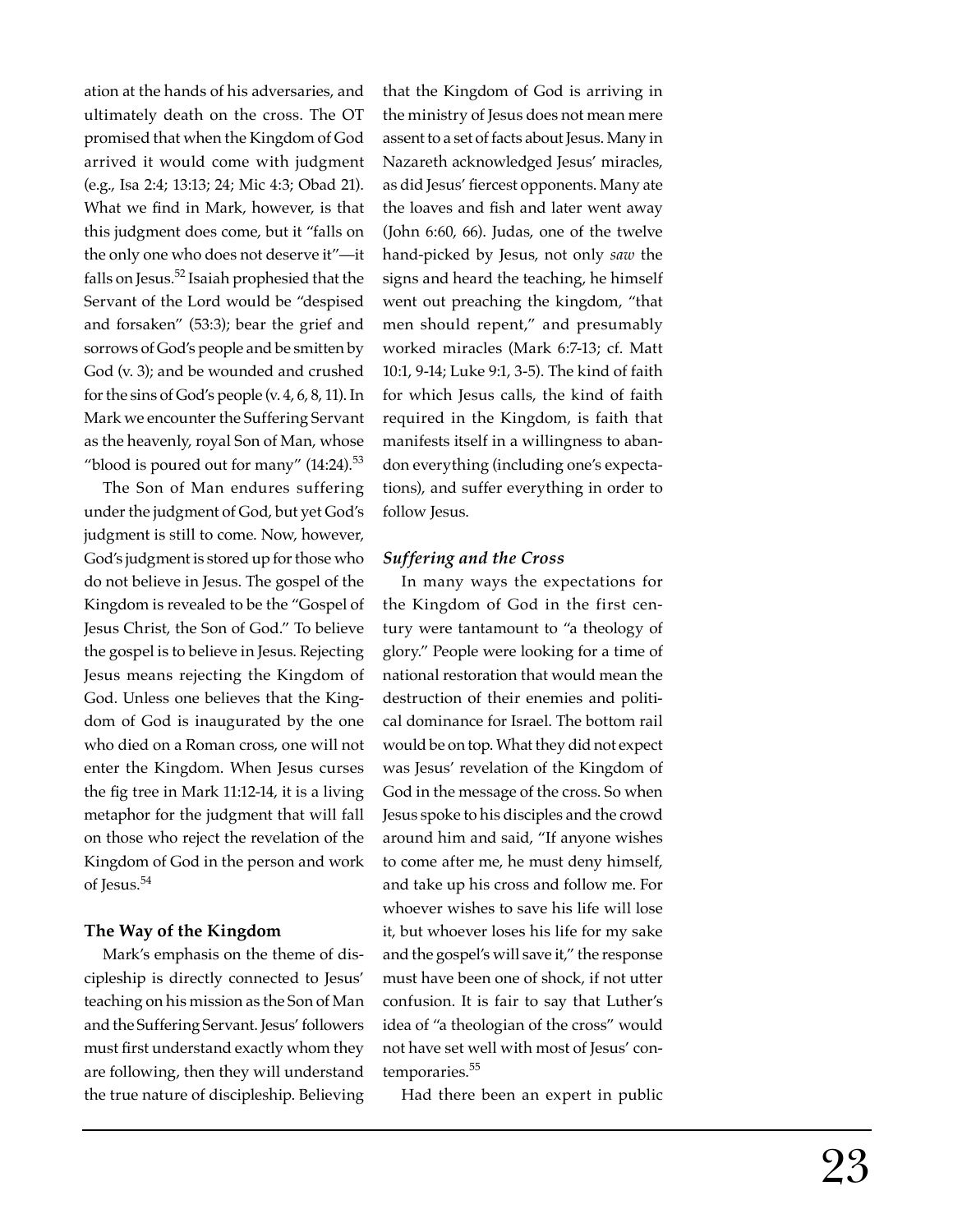ation at the hands of his adversaries, and ultimately death on the cross. The OT promised that when the Kingdom of God arrived it would come with judgment (e.g., Isa 2:4; 13:13; 24; Mic 4:3; Obad 21). What we find in Mark, however, is that this judgment does come, but it "falls on the only one who does not deserve it"—it falls on Jesus.<sup>52</sup> Isaiah prophesied that the Servant of the Lord would be "despised and forsaken" (53:3); bear the grief and sorrows of God's people and be smitten by God (v. 3); and be wounded and crushed for the sins of God's people (v. 4, 6, 8, 11). In Mark we encounter the Suffering Servant as the heavenly, royal Son of Man, whose "blood is poured out for many"  $(14:24)$ .<sup>53</sup>

The Son of Man endures suffering under the judgment of God, but yet God's judgment is still to come. Now, however, God's judgment is stored up for those who do not believe in Jesus. The gospel of the Kingdom is revealed to be the "Gospel of Jesus Christ, the Son of God." To believe the gospel is to believe in Jesus. Rejecting Jesus means rejecting the Kingdom of God. Unless one believes that the Kingdom of God is inaugurated by the one who died on a Roman cross, one will not enter the Kingdom. When Jesus curses the fig tree in Mark 11:12-14, it is a living metaphor for the judgment that will fall on those who reject the revelation of the Kingdom of God in the person and work of Jesus.<sup>54</sup>

#### **The Way of the Kingdom**

Mark's emphasis on the theme of discipleship is directly connected to Jesus' teaching on his mission as the Son of Man and the Suffering Servant. Jesus' followers must first understand exactly whom they are following, then they will understand the true nature of discipleship. Believing

that the Kingdom of God is arriving in the ministry of Jesus does not mean mere assent to a set of facts about Jesus. Many in Nazareth acknowledged Jesus' miracles, as did Jesus' fiercest opponents. Many ate the loaves and fish and later went away (John 6:60, 66). Judas, one of the twelve hand-picked by Jesus, not only *saw* the signs and heard the teaching, he himself went out preaching the kingdom, "that men should repent," and presumably worked miracles (Mark 6:7-13; cf. Matt 10:1, 9-14; Luke 9:1, 3-5). The kind of faith for which Jesus calls, the kind of faith required in the Kingdom, is faith that manifests itself in a willingness to abandon everything (including one's expectations), and suffer everything in order to follow Jesus.

## *Suffering and the Cross*

In many ways the expectations for the Kingdom of God in the first century were tantamount to "a theology of glory." People were looking for a time of national restoration that would mean the destruction of their enemies and political dominance for Israel. The bottom rail would be on top. What they did not expect was Jesus' revelation of the Kingdom of God in the message of the cross. So when Jesus spoke to his disciples and the crowd around him and said, "If anyone wishes to come after me, he must deny himself, and take up his cross and follow me. For whoever wishes to save his life will lose it, but whoever loses his life for my sake and the gospel's will save it," the response must have been one of shock, if not utter confusion. It is fair to say that Luther's idea of "a theologian of the cross" would not have set well with most of Jesus' contemporaries.<sup>55</sup>

Had there been an expert in public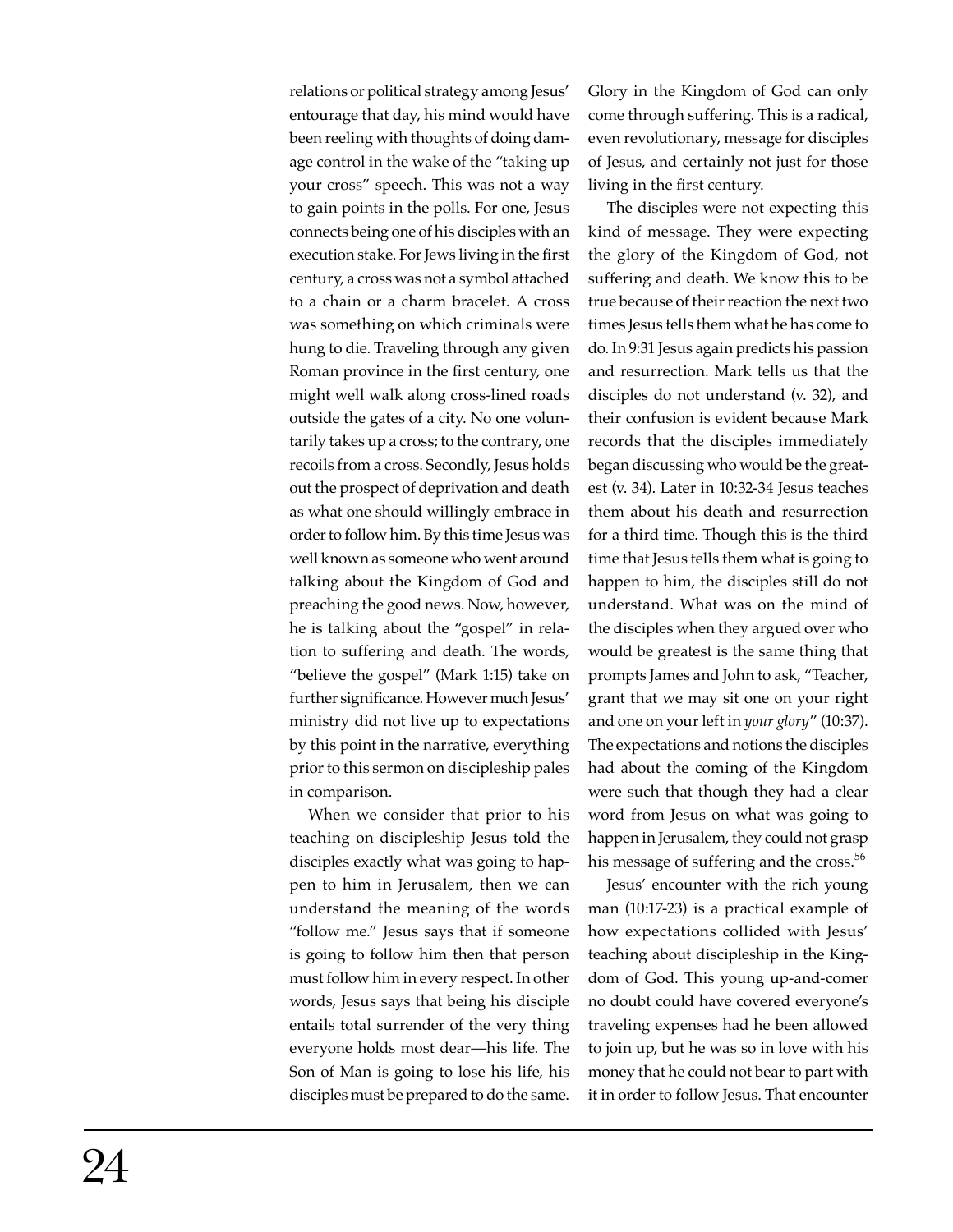relations or political strategy among Jesus' entourage that day, his mind would have been reeling with thoughts of doing damage control in the wake of the "taking up your cross" speech. This was not a way to gain points in the polls. For one, Jesus connects being one of his disciples with an execution stake. For Jews living in the first century, a cross was not a symbol attached to a chain or a charm bracelet. A cross was something on which criminals were hung to die. Traveling through any given Roman province in the first century, one might well walk along cross-lined roads outside the gates of a city. No one voluntarily takes up a cross; to the contrary, one recoils from a cross. Secondly, Jesus holds out the prospect of deprivation and death as what one should willingly embrace in order to follow him. By this time Jesus was well known as someone who went around talking about the Kingdom of God and preaching the good news. Now, however, he is talking about the "gospel" in relation to suffering and death. The words, "believe the gospel" (Mark 1:15) take on further significance. However much Jesus' ministry did not live up to expectations by this point in the narrative, everything prior to this sermon on discipleship pales in comparison.

When we consider that prior to his teaching on discipleship Jesus told the disciples exactly what was going to happen to him in Jerusalem, then we can understand the meaning of the words "follow me." Jesus says that if someone is going to follow him then that person must follow him in every respect. In other words, Jesus says that being his disciple entails total surrender of the very thing everyone holds most dear—his life. The Son of Man is going to lose his life, his disciples must be prepared to do the same.

Glory in the Kingdom of God can only come through suffering. This is a radical, even revolutionary, message for disciples of Jesus, and certainly not just for those living in the first century.

The disciples were not expecting this kind of message. They were expecting the glory of the Kingdom of God, not suffering and death. We know this to be true because of their reaction the next two times Jesus tells them what he has come to do. In 9:31 Jesus again predicts his passion and resurrection. Mark tells us that the disciples do not understand (v. 32), and their confusion is evident because Mark records that the disciples immediately began discussing who would be the greatest (v. 34). Later in 10:32-34 Jesus teaches them about his death and resurrection for a third time. Though this is the third time that Jesus tells them what is going to happen to him, the disciples still do not understand. What was on the mind of the disciples when they argued over who would be greatest is the same thing that prompts James and John to ask, "Teacher, grant that we may sit one on your right and one on your left in *your glory*" (10:37). The expectations and notions the disciples had about the coming of the Kingdom were such that though they had a clear word from Jesus on what was going to happen in Jerusalem, they could not grasp his message of suffering and the cross.<sup>56</sup>

Jesus' encounter with the rich young man (10:17-23) is a practical example of how expectations collided with Jesus' teaching about discipleship in the Kingdom of God. This young up-and-comer no doubt could have covered everyone's traveling expenses had he been allowed to join up, but he was so in love with his money that he could not bear to part with it in order to follow Jesus. That encounter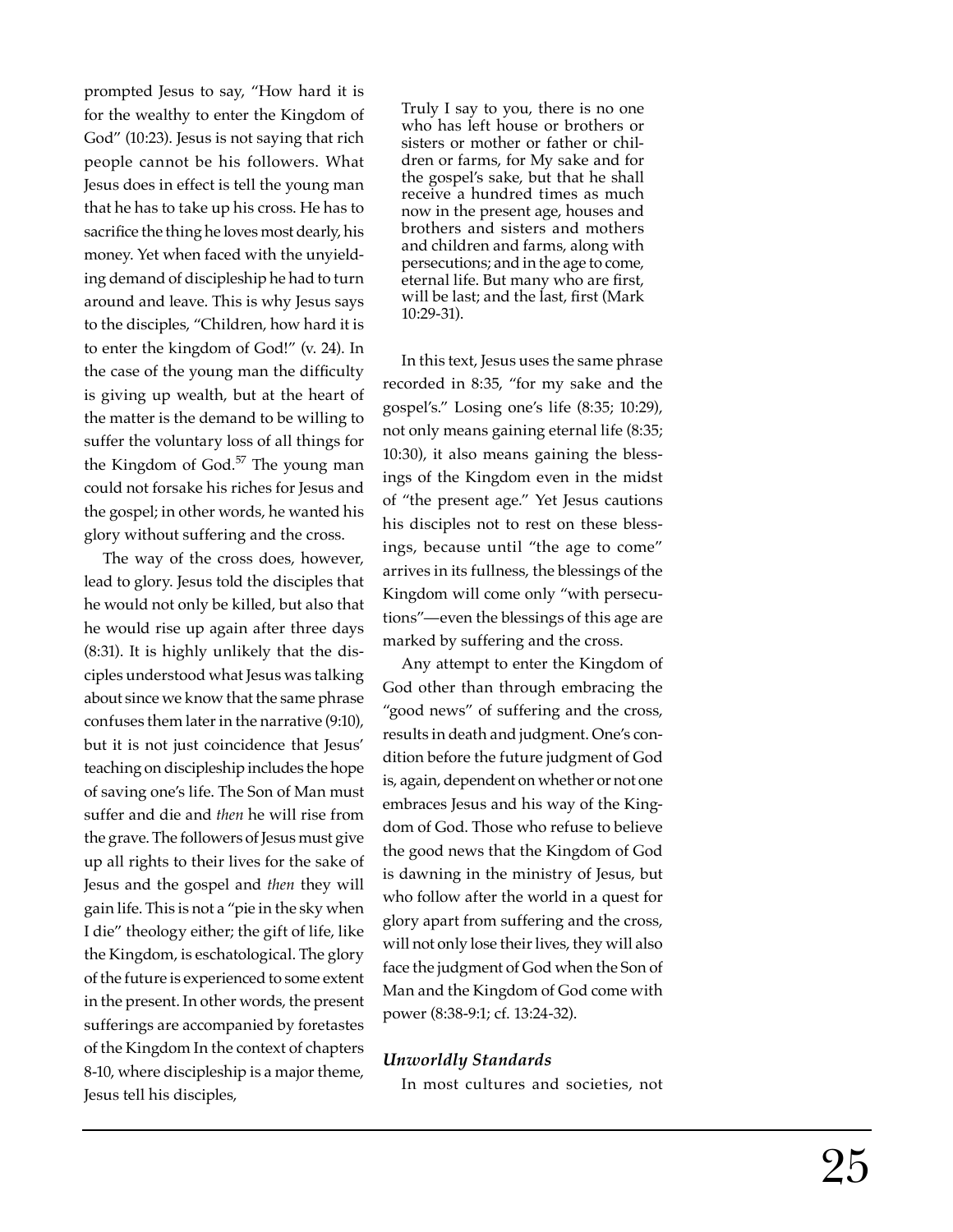prompted Jesus to say, "How hard it is for the wealthy to enter the Kingdom of God" (10:23). Jesus is not saying that rich people cannot be his followers. What Jesus does in effect is tell the young man that he has to take up his cross. He has to sacri fi ce the thing he loves most dearly, his money. Yet when faced with the unyielding demand of discipleship he had to turn around and leave. This is why Jesus says to the disciples, "Children, how hard it is to enter the kingdom of God!" (v. 24). In the case of the young man the difficulty is giving up wealth, but at the heart of the matter is the demand to be willing to suffer the voluntary loss of all things for the Kingdom of  $God.<sup>57</sup>$  The young man could not forsake his riches for Jesus and the gospel; in other words, he wanted his glory without suffering and the cross.

The way of the cross does, however, lead to glory. Jesus told the disciples that he would not only be killed, but also that he would rise up again after three days (8:31). It is highly unlikely that the disciples understood what Jesus was talking about since we know that the same phrase confuses them later in the narrative (9:10), but it is not just coincidence that Jesus' teaching on discipleship includes the hope of saving one's life. The Son of Man must suffer and die and *then* he will rise from the grave. The followers of Jesus must give up all rights to their lives for the sake of Jesus and the gospel and *then* they will gain life. This is not a "pie in the sky when I die" theology either; the gift of life, like the Kingdom, is eschatological. The glory of the future is experienced to some extent in the present. In other words, the present sufferings are accompanied by foretastes of the Kingdom In the context of chapters 8-10, where discipleship is a major theme, Jesus tell his disciples,

Truly I say to you, there is no one who has left house or brothers or sisters or mother or father or children or farms, for My sake and for the gospel's sake, but that he shall receive a hundred times as much now in the present age, houses and brothers and sisters and mothers and children and farms, along with persecutions; and in the age to come, eternal life. But many who are first, will be last; and the last, fi rst (Mark 10:29-31).

In this text, Jesus uses the same phrase recorded in 8:35, "for my sake and the gospel's." Losing one's life (8:35; 10:29), not only means gaining eternal life (8:35; 10:30), it also means gaining the blessings of the Kingdom even in the midst of "the present age." Yet Jesus cautions his disciples not to rest on these blessings, because until "the age to come" arrives in its fullness, the blessings of the Kingdom will come only "with persecutions"—even the blessings of this age are marked by suffering and the cross.

Any attempt to enter the Kingdom of God other than through embracing the "good news" of suffering and the cross, results in death and judgment. One's condition before the future judgment of God is, again, dependent on whether or not one embraces Jesus and his way of the Kingdom of God. Those who refuse to believe the good news that the Kingdom of God is dawning in the ministry of Jesus, but who follow after the world in a quest for glory apart from suffering and the cross, will not only lose their lives, they will also face the judgment of God when the Son of Man and the Kingdom of God come with power (8:38-9:1; cf. 13:24-32).

# *Unworldly Standards*

In most cultures and societies, not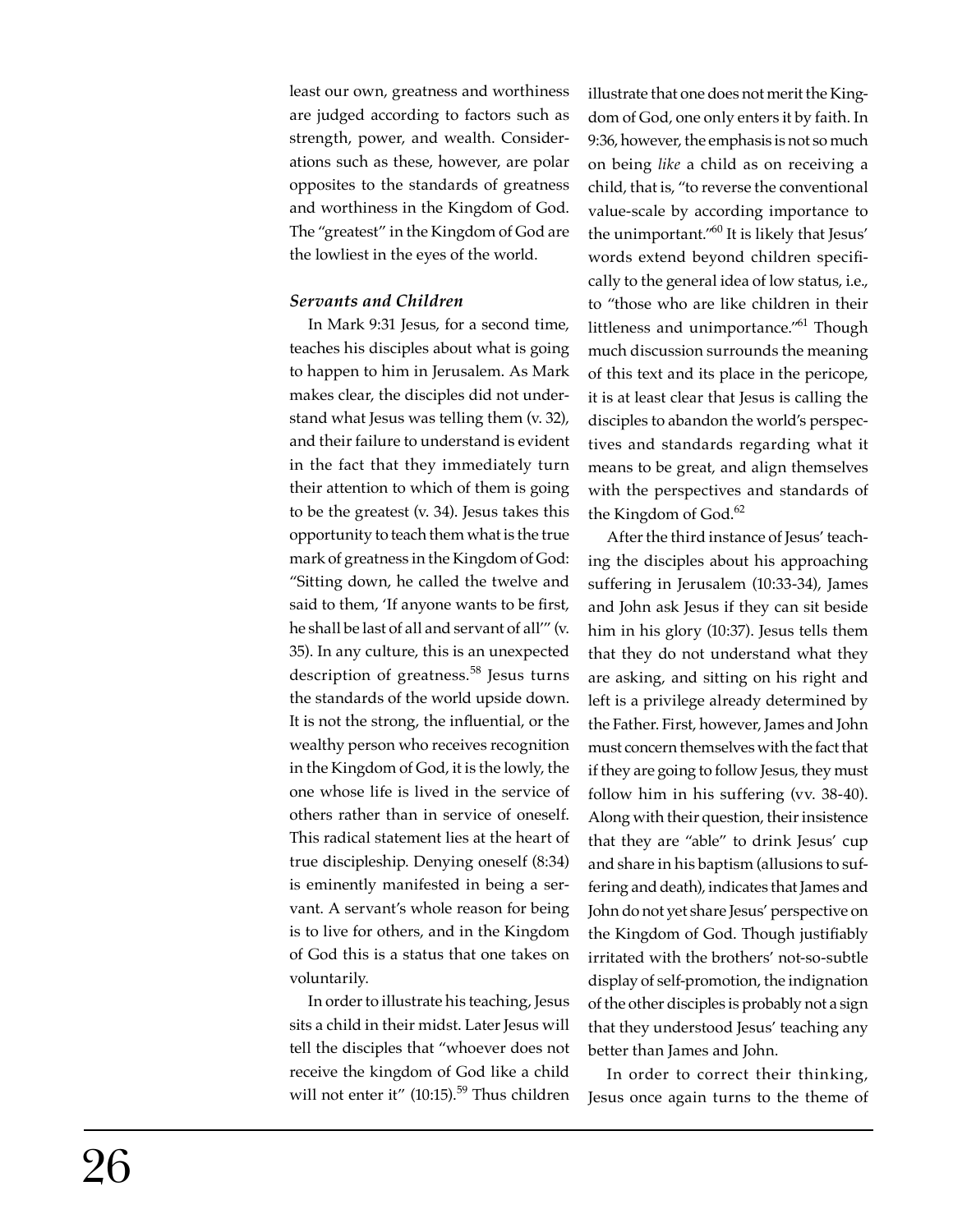least our own, greatness and worthiness are judged according to factors such as strength, power, and wealth. Considerations such as these, however, are polar opposites to the standards of greatness and worthiness in the Kingdom of God. The "greatest" in the Kingdom of God are the lowliest in the eyes of the world.

# *Servants and Children*

In Mark 9:31 Jesus, for a second time, teaches his disciples about what is going to happen to him in Jerusalem. As Mark makes clear, the disciples did not understand what Jesus was telling them (v. 32), and their failure to understand is evident in the fact that they immediately turn their attention to which of them is going to be the greatest (v. 34). Jesus takes this opportunity to teach them what is the true mark of greatness in the Kingdom of God: "Sitting down, he called the twelve and said to them, 'If anyone wants to be first, he shall be last of all and servant of all'" (v. 35). In any culture, this is an unexpected description of greatness.<sup>58</sup> Jesus turns the standards of the world upside down. It is not the strong, the influential, or the wealthy person who receives recognition in the Kingdom of God, it is the lowly, the one whose life is lived in the service of others rather than in service of oneself. This radical statement lies at the heart of true discipleship. Denying oneself (8:34) is eminently manifested in being a servant. A servant's whole reason for being is to live for others, and in the Kingdom of God this is a status that one takes on voluntarily.

In order to illustrate his teaching, Jesus sits a child in their midst. Later Jesus will tell the disciples that "whoever does not receive the kingdom of God like a child will not enter it" (10:15).<sup>59</sup> Thus children

illustrate that one does not merit the Kingdom of God, one only enters it by faith. In 9:36, however, the emphasis is not so much on being *like* a child as on receiving a child, that is, "to reverse the conventional value-scale by according importance to the unimportant."<sup>60</sup> It is likely that Jesus' words extend beyond children specifically to the general idea of low status, i.e., to "those who are like children in their littleness and unimportance."61 Though much discussion surrounds the meaning of this text and its place in the pericope, it is at least clear that Jesus is calling the disciples to abandon the world's perspectives and standards regarding what it means to be great, and align themselves with the perspectives and standards of the Kingdom of God.<sup>62</sup>

After the third instance of Jesus' teaching the disciples about his approaching suffering in Jerusalem (10:33-34), James and John ask Jesus if they can sit beside him in his glory (10:37). Jesus tells them that they do not understand what they are asking, and sitting on his right and left is a privilege already determined by the Father. First, however, James and John must concern themselves with the fact that if they are going to follow Jesus, they must follow him in his suffering (vv. 38-40). Along with their question, their insistence that they are "able" to drink Jesus' cup and share in his baptism (allusions to suffering and death), indicates that James and John do not yet share Jesus' perspective on the Kingdom of God. Though justifiably irritated with the brothers' not-so-subtle display of self-promotion, the indignation of the other disciples is probably not a sign that they understood Jesus' teaching any better than James and John.

In order to correct their thinking, Jesus once again turns to the theme of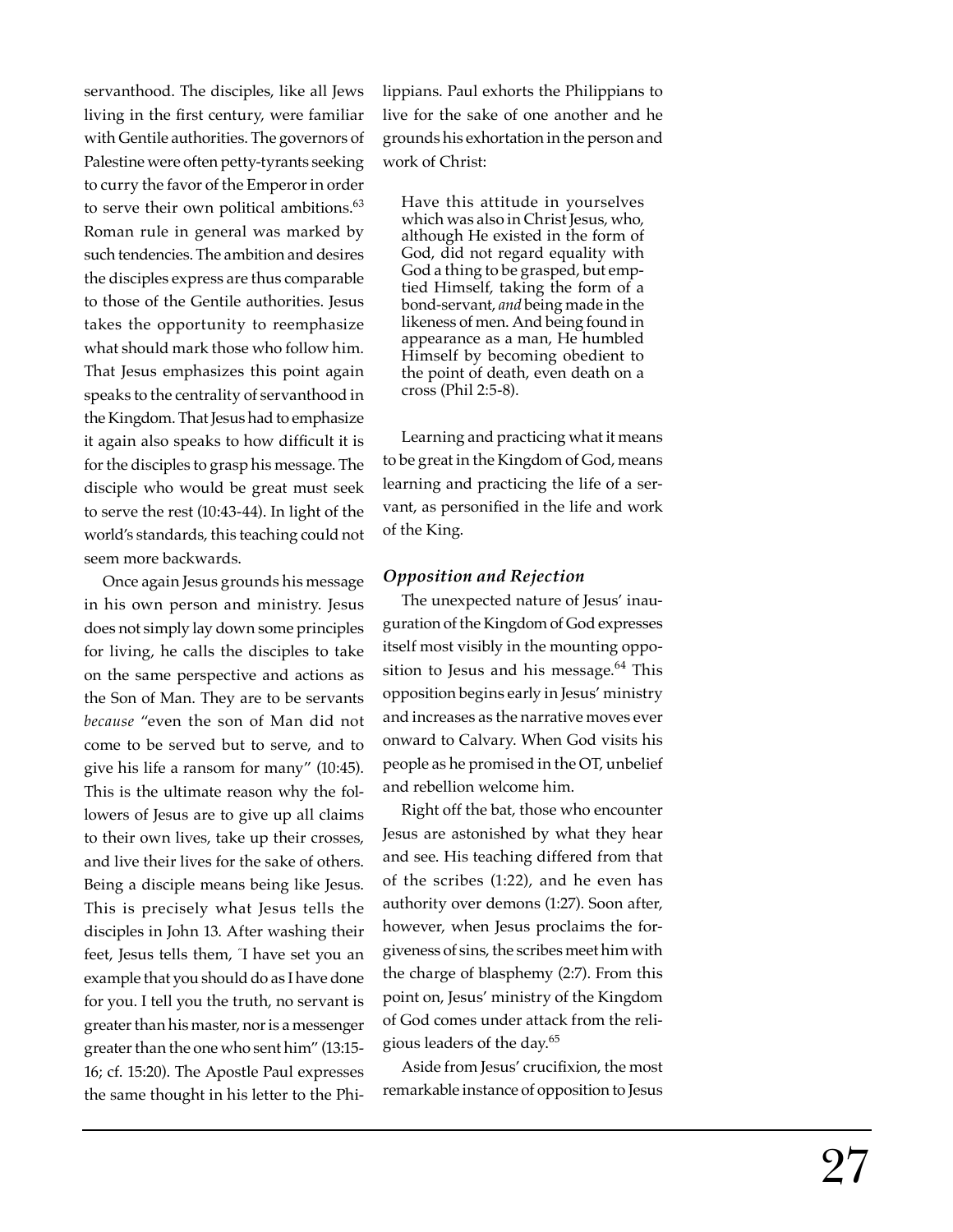servanthood. The disciples, like all Jews living in the first century, were familiar with Gentile authorities. The governors of Palestine were often petty-tyrants seeking to curry the favor of the Emperor in order to serve their own political ambitions.<sup>63</sup> Roman rule in general was marked by such tendencies. The ambition and desires the disciples express are thus comparable to those of the Gentile authorities. Jesus takes the opportunity to reemphasize what should mark those who follow him. That Jesus emphasizes this point again speaks to the centrality of servanthood in the Kingdom. That Jesus had to emphasize it again also speaks to how difficult it is for the disciples to grasp his message. The disciple who would be great must seek to serve the rest (10:43-44). In light of the world's standards, this teaching could not seem more backwards.

Once again Jesus grounds his message in his own person and ministry. Jesus does not simply lay down some principles for living, he calls the disciples to take on the same perspective and actions as the Son of Man. They are to be servants *because* "even the son of Man did not come to be served but to serve, and to give his life a ransom for many" (10:45). This is the ultimate reason why the followers of Jesus are to give up all claims to their own lives, take up their crosses, and live their lives for the sake of others. Being a disciple means being like Jesus. This is precisely what Jesus tells the disciples in John 13. After washing their feet, Jesus tells them, " I have set you an example that you should do as I have done for you. I tell you the truth, no servant is greater than his master, nor is a messenger greater than the one who sent him" (13:15- 16; cf. 15:20). The Apostle Paul expresses the same thought in his letter to the Philippians. Paul exhorts the Philippians to live for the sake of one another and he grounds his exhortation in the person and work of Christ:

Have this attitude in yourselves which was also in Christ Jesus, who, although He existed in the form of God, did not regard equality with God a thing to be grasped, but emptied Himself, taking the form of a bond-servant, *and* being made in the likeness of men. And being found in appearance as a man, He humbled Himself by becoming obedient to the point of death, even death on a cross (Phil 2:5-8).

Learning and practicing what it means to be great in the Kingdom of God, means learning and practicing the life of a servant, as personified in the life and work of the King.

#### *Opposition and Rejection*

The unexpected nature of Jesus' inauguration of the Kingdom of God expresses itself most visibly in the mounting opposition to Jesus and his message. $64$  This opposition begins early in Jesus' ministry and increases as the narrative moves ever onward to Calvary. When God visits his people as he promised in the OT, unbelief and rebellion welcome him.

Right off the bat, those who encounter Jesus are astonished by what they hear and see. His teaching differed from that of the scribes (1:22), and he even has authority over demons (1:27). Soon after, however, when Jesus proclaims the forgiveness of sins, the scribes meet him with the charge of blasphemy (2:7). From this point on, Jesus' ministry of the Kingdom of God comes under attack from the religious leaders of the day.65

Aside from Jesus' cruci fi xion, the most remarkable instance of opposition to Jesus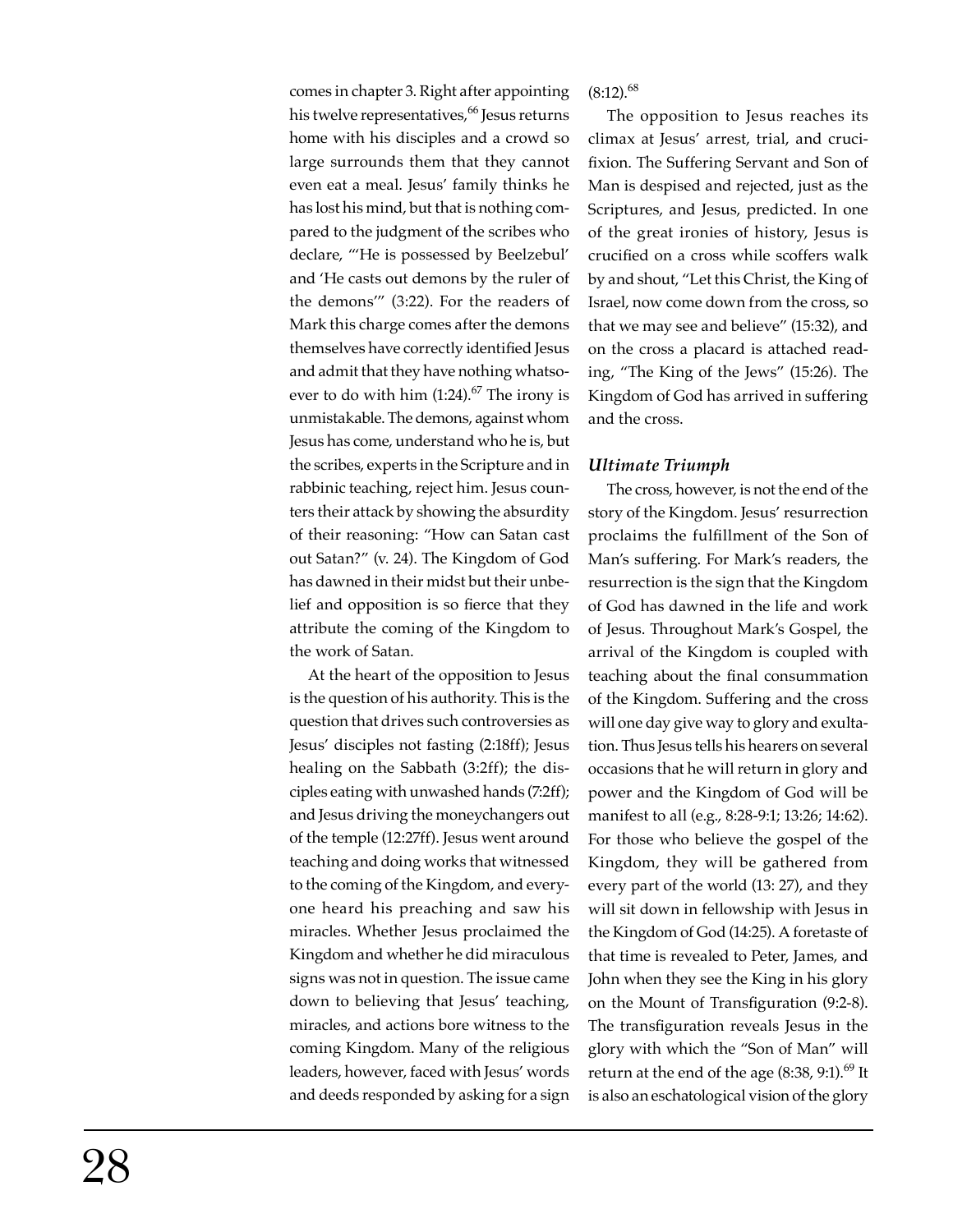comes in chapter 3. Right after appointing his twelve representatives,<sup>66</sup> Jesus returns home with his disciples and a crowd so large surrounds them that they cannot even eat a meal. Jesus' family thinks he has lost his mind, but that is nothing compared to the judgment of the scribes who declare, "'He is possessed by Beelzebul' and 'He casts out demons by the ruler of the demons'" (3:22). For the readers of Mark this charge comes after the demons themselves have correctly identified Jesus and admit that they have nothing whatsoever to do with him  $(1:24).^{67}$  The irony is unmistakable. The demons, against whom Jesus has come, understand who he is, but the scribes, experts in the Scripture and in rabbinic teaching, reject him. Jesus counters their attack by showing the absurdity of their reasoning: "How can Satan cast out Satan?" (v. 24). The Kingdom of God has dawned in their midst but their unbelief and opposition is so fierce that they attribute the coming of the Kingdom to the work of Satan.

At the heart of the opposition to Jesus is the question of his authority. This is the question that drives such controversies as Jesus' disciples not fasting (2:18ff); Jesus healing on the Sabbath (3:2ff); the disciples eating with unwashed hands (7:2ff); and Jesus driving the moneychangers out of the temple (12:27ff). Jesus went around teaching and doing works that witnessed to the coming of the Kingdom, and everyone heard his preaching and saw his miracles. Whether Jesus proclaimed the Kingdom and whether he did miraculous signs was not in question. The issue came down to believing that Jesus' teaching, miracles, and actions bore witness to the coming Kingdom. Many of the religious leaders, however, faced with Jesus' words and deeds responded by asking for a sign

 $(8:12).^{68}$ 

The opposition to Jesus reaches its climax at Jesus' arrest, trial, and crucifixion. The Suffering Servant and Son of Man is despised and rejected, just as the Scriptures, and Jesus, predicted. In one of the great ironies of history, Jesus is crucified on a cross while scoffers walk by and shout, "Let this Christ, the King of Israel, now come down from the cross, so that we may see and believe" (15:32), and on the cross a placard is attached reading, "The King of the Jews" (15:26). The Kingdom of God has arrived in suffering and the cross.

#### *Ultimate Triumph*

The cross, however, is not the end of the story of the Kingdom. Jesus' resurrection proclaims the fulfillment of the Son of Man's suffering. For Mark's readers, the resurrection is the sign that the Kingdom of God has dawned in the life and work of Jesus. Throughout Mark's Gospel, the arrival of the Kingdom is coupled with teaching about the final consummation of the Kingdom. Suffering and the cross will one day give way to glory and exultation. Thus Jesus tells his hearers on several occasions that he will return in glory and power and the Kingdom of God will be manifest to all (e.g., 8:28-9:1; 13:26; 14:62). For those who believe the gospel of the Kingdom, they will be gathered from every part of the world (13: 27), and they will sit down in fellowship with Jesus in the Kingdom of God (14:25). A foretaste of that time is revealed to Peter, James, and John when they see the King in his glory on the Mount of Transfiguration (9:2-8). The transfiguration reveals Jesus in the glory with which the "Son of Man" will return at the end of the age  $(8:38, 9:1).<sup>69</sup>$  It is also an eschatological vision of the glory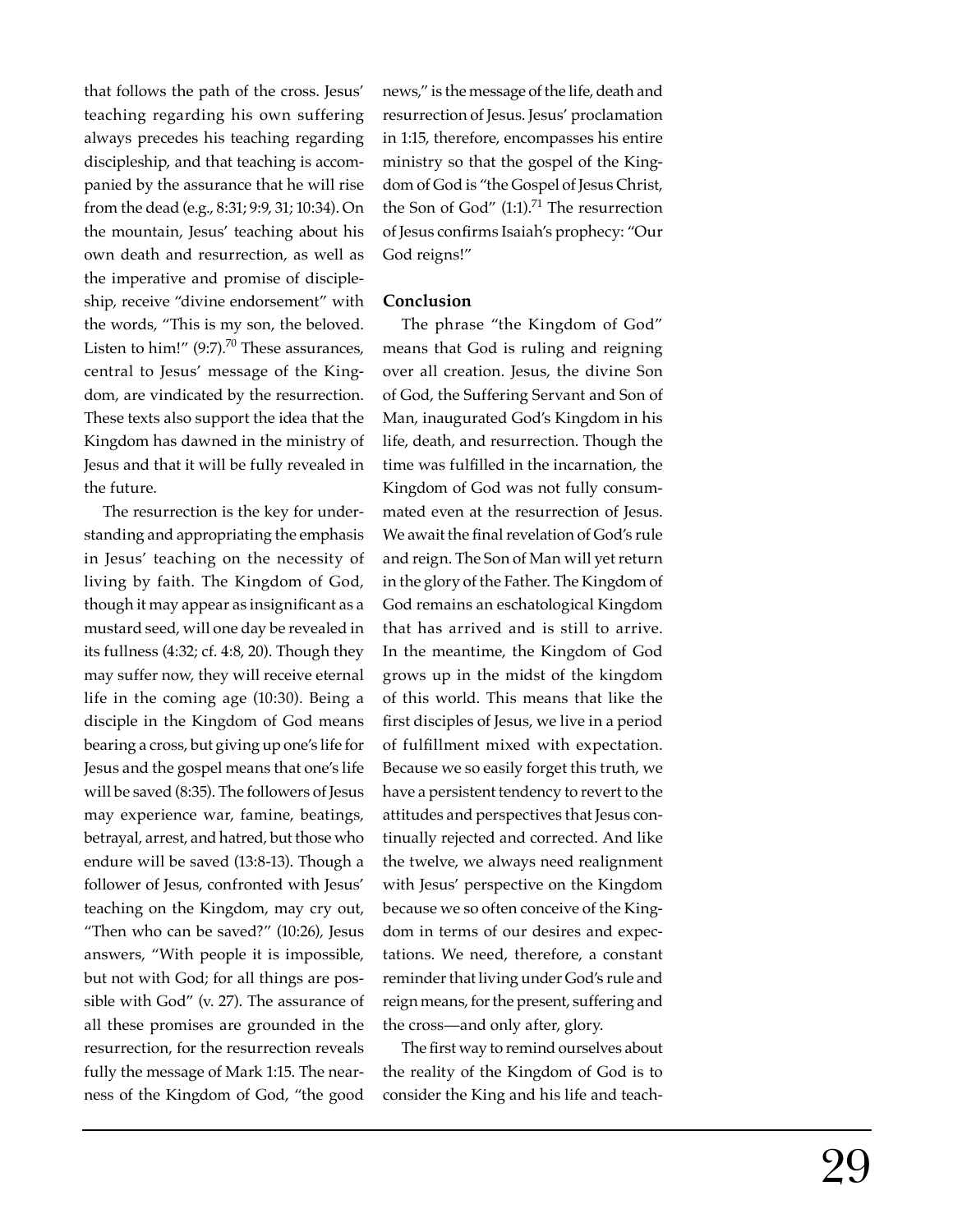that follows the path of the cross. Jesus' teaching regarding his own suffering always precedes his teaching regarding discipleship, and that teaching is accompanied by the assurance that he will rise from the dead (e.g., 8:31; 9:9, 31; 10:34). On the mountain, Jesus' teaching about his own death and resurrection, as well as the imperative and promise of discipleship, receive "divine endorsement" with the words, "This is my son, the beloved. Listen to him!"  $(9:7)$ .<sup>70</sup> These assurances, central to Jesus' message of the Kingdom, are vindicated by the resurrection. These texts also support the idea that the Kingdom has dawned in the ministry of Jesus and that it will be fully revealed in the future.

The resurrection is the key for understanding and appropriating the emphasis in Jesus' teaching on the necessity of living by faith. The Kingdom of God, though it may appear as insignificant as a mustard seed, will one day be revealed in its fullness (4:32; cf. 4:8, 20). Though they may suffer now, they will receive eternal life in the coming age (10:30). Being a disciple in the Kingdom of God means bearing a cross, but giving up one's life for Jesus and the gospel means that one's life will be saved (8:35). The followers of Jesus may experience war, famine, beatings, betrayal, arrest, and hatred, but those who endure will be saved (13:8-13). Though a follower of Jesus, confronted with Jesus' teaching on the Kingdom, may cry out, "Then who can be saved?" (10:26), Jesus answers, "With people it is impossible, but not with God; for all things are possible with God" (v. 27). The assurance of all these promises are grounded in the resurrection, for the resurrection reveals fully the message of Mark 1:15. The nearness of the Kingdom of God, "the good

news," is the message of the life, death and resurrection of Jesus. Jesus' proclamation in 1:15, therefore, encompasses his entire ministry so that the gospel of the Kingdom of God is "the Gospel of Jesus Christ, the Son of God"  $(1:1).<sup>71</sup>$  The resurrection of Jesus confirms Isaiah's prophecy: "Our God reigns!"

#### **Conclusion**

The phrase "the Kingdom of God" means that God is ruling and reigning over all creation. Jesus, the divine Son of God, the Suffering Servant and Son of Man, inaugurated God's Kingdom in his life, death, and resurrection. Though the time was fulfilled in the incarnation, the Kingdom of God was not fully consummated even at the resurrection of Jesus. We await the final revelation of God's rule and reign. The Son of Man will yet return in the glory of the Father. The Kingdom of God remains an eschatological Kingdom that has arrived and is still to arrive. In the meantime, the Kingdom of God grows up in the midst of the kingdom of this world. This means that like the first disciples of Jesus, we live in a period of fulfillment mixed with expectation. Because we so easily forget this truth, we have a persistent tendency to revert to the attitudes and perspectives that Jesus continually rejected and corrected. And like the twelve, we always need realignment with Jesus' perspective on the Kingdom because we so often conceive of the Kingdom in terms of our desires and expectations. We need, therefore, a constant reminder that living under God's rule and reign means, for the present, suffering and the cross—and only after, glory.

The first way to remind ourselves about the reality of the Kingdom of God is to consider the King and his life and teach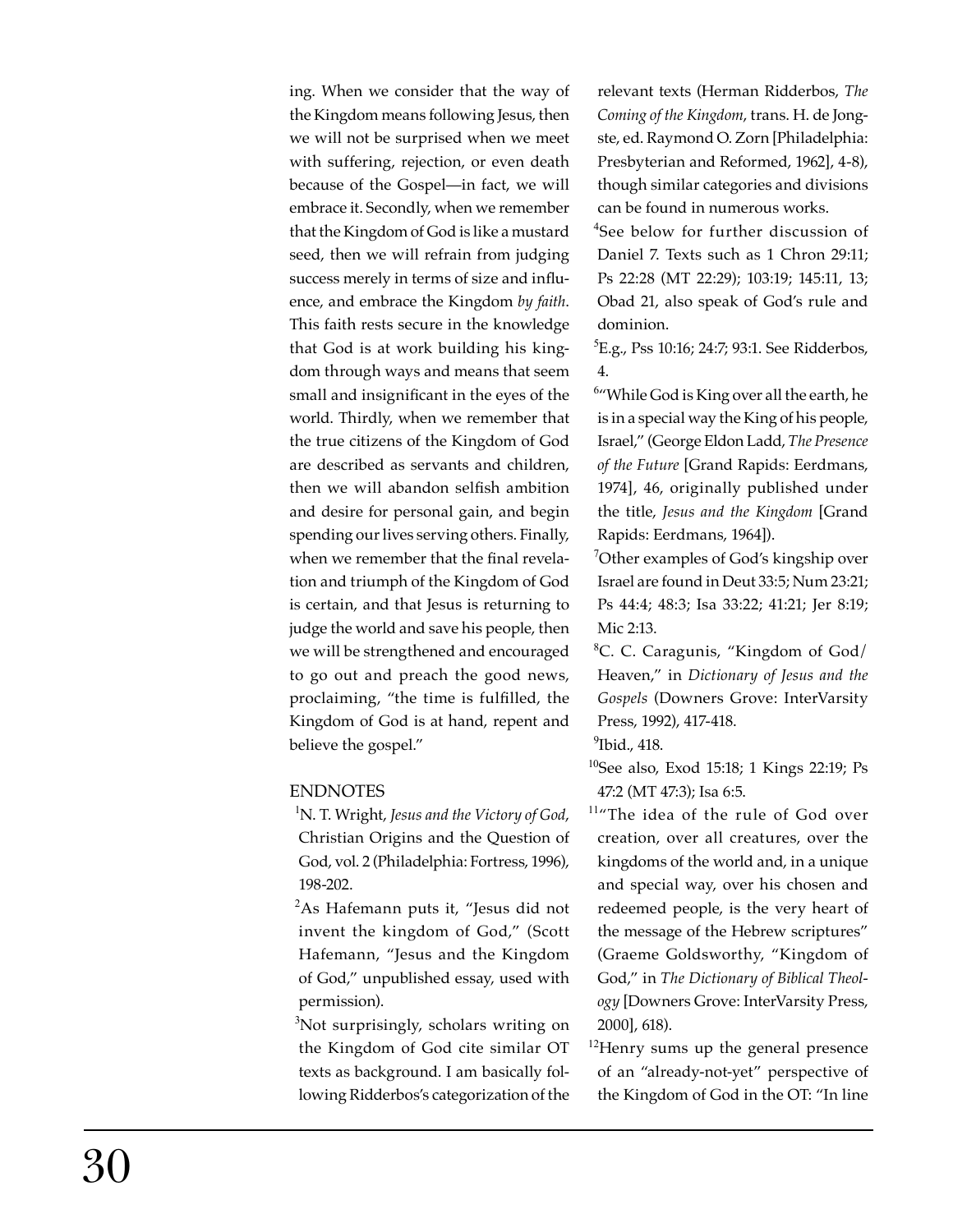ing. When we consider that the way of the Kingdom means following Jesus, then we will not be surprised when we meet with suffering, rejection, or even death because of the Gospel—in fact, we will embrace it. Secondly, when we remember that the Kingdom of God is like a mustard seed, then we will refrain from judging success merely in terms of size and influence, and embrace the Kingdom *by faith*. This faith rests secure in the knowledge that God is at work building his kingdom through ways and means that seem small and insignificant in the eyes of the world. Thirdly, when we remember that the true citizens of the Kingdom of God are described as servants and children, then we will abandon selfish ambition and desire for personal gain, and begin spending our lives serving others. Finally, when we remember that the final revelation and triumph of the Kingdom of God is certain, and that Jesus is returning to judge the world and save his people, then we will be strengthened and encouraged to go out and preach the good news, proclaiming, "the time is fulfilled, the Kingdom of God is at hand, repent and believe the gospel."

## ENDNOTES

- <sup>1</sup>N. T. Wright, *Jesus and the Victory of God*, Christian Origins and the Question of God, vol. 2 (Philadelphia: Fortress, 1996), 198-202.
- $2$ As Hafemann puts it, "Jesus did not invent the kingdom of God," (Scott Hafemann, "Jesus and the Kingdom of God," unpublished essay, used with permission).
- <sup>3</sup>Not surprisingly, scholars writing on the Kingdom of God cite similar OT texts as background. I am basically following Ridderbos's categorization of the

relevant texts (Herman Ridderbos, *The Coming of the Kingdom*, trans. H. de Jongste, ed. Raymond O. Zorn [Philadelphia: Presbyterian and Reformed, 1962], 4-8), though similar categories and divisions can be found in numerous works.

<sup>4</sup>See below for further discussion of Daniel 7. Texts such as 1 Chron 29:11; Ps 22:28 (MT 22:29); 103:19; 145:11, 13; Obad 21, also speak of God's rule and dominion.

<sup>5</sup>E.g., Pss 10:16; 24:7; 93:1. See Ridderbos, 4.

 $6$ "While God is King over all the earth, he is in a special way the King of his people, Israel," (George Eldon Ladd, *The Presence of the Future* [Grand Rapids: Eerdmans, 1974], 46, originally published under the title, *Jesus and the Kingdom* [Grand Rapids: Eerdmans, 1964]).

<sup>7</sup>Other examples of God's kingship over Israel are found in Deut 33:5; Num 23:21; Ps 44:4; 48:3; Isa 33:22; 41:21; Jer 8:19; Mic 2:13.

<sup>8</sup>C. C. Caragunis, "Kingdom of God/ Heaven," in *Dictionary of Jesus and the Gospels* (Downers Grove: InterVarsity Press, 1992), 417-418.

 $9$ Ibid., 418.

<sup>10</sup>See also, Exod 15:18; 1 Kings 22:19; Ps 47:2 (MT 47:3); Isa 6:5.

<sup>11</sup>The idea of the rule of God over creation, over all creatures, over the kingdoms of the world and, in a unique and special way, over his chosen and redeemed people, is the very heart of the message of the Hebrew scriptures" (Graeme Goldsworthy, "Kingdom of God," in *The Dictionary of Biblical Theology* [Downers Grove: InterVarsity Press, 2000], 618).

<sup>12</sup>Henry sums up the general presence of an "already-not-yet" perspective of the Kingdom of God in the OT: "In line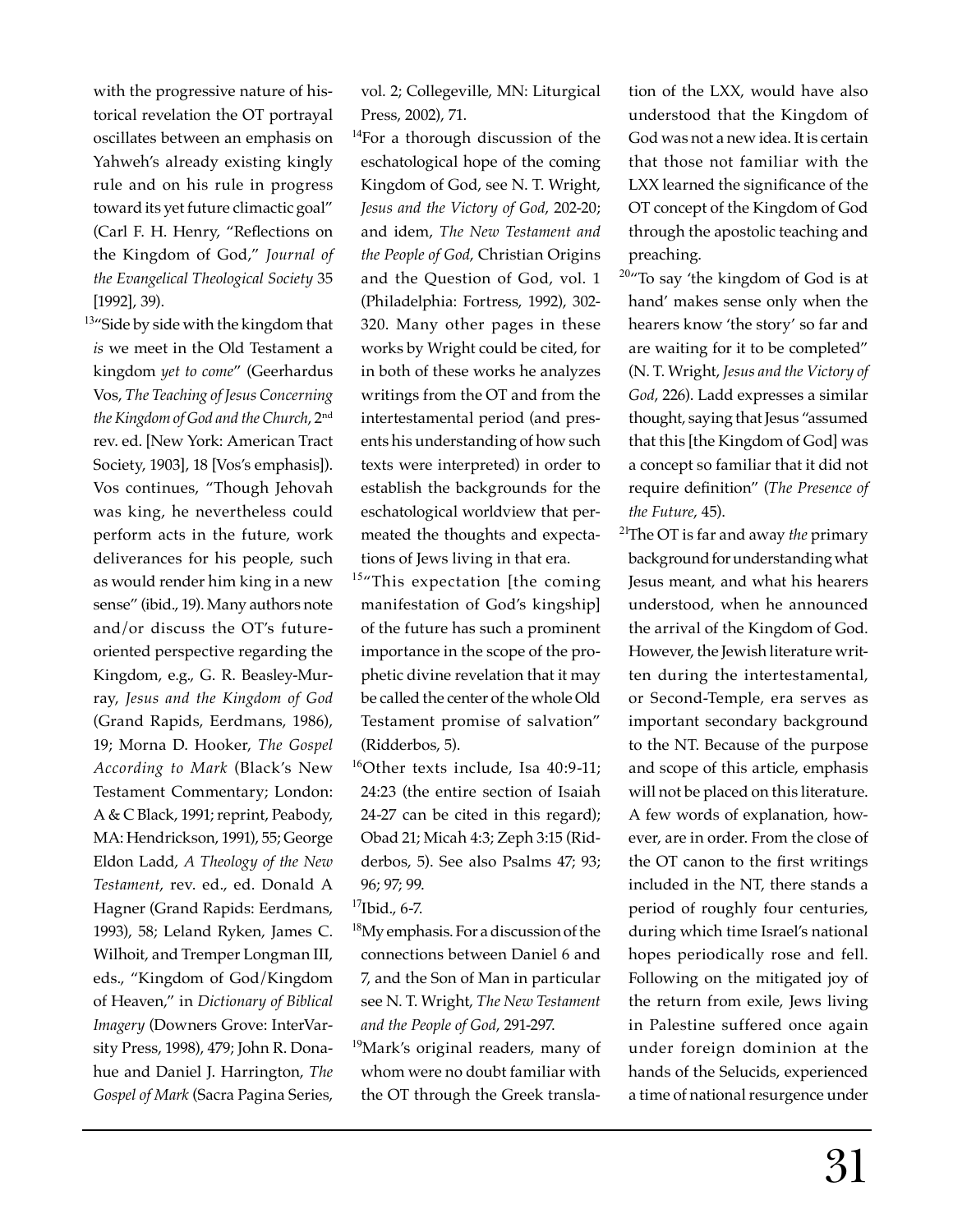with the progressive nature of historical revelation the OT portrayal oscillates between an emphasis on Yahweh's already existing kingly rule and on his rule in progress toward its yet future climactic goal" (Carl F. H. Henry, "Reflections on the Kingdom of God," *Journal of the Evangelical Theological Society* 35 [1992], 39).

<sup>13</sup>"Side by side with the kingdom that *is* we meet in the Old Testament a kingdom *yet to come*" (Geerhardus Vos, *The Teaching of Jesus Concerning the Kingdom of God and the Church*, 2nd rev. ed. [New York: American Tract Society, 1903], 18 [Vos's emphasis]). Vos continues, "Though Jehovah was king, he nevertheless could perform acts in the future, work deliverances for his people, such as would render him king in a new sense" (ibid., 19). Many authors note and/or discuss the OT's futureoriented perspective regarding the Kingdom, e.g., G. R. Beasley-Murray, *Jesus and the Kingdom of God* (Grand Rapids, Eerdmans, 1986), 19; Morna D. Hooker, *The Gospel According to Mark* (Black's New Testament Commentary; London: A & C Black, 1991; reprint, Peabody, MA: Hendrickson, 1991), 55; George Eldon Ladd, *A Theology of the New Testament*, rev. ed., ed. Donald A Hagner (Grand Rapids: Eerdmans, 1993), 58; Leland Ryken, James C. Wilhoit, and Tremper Longman III, eds., "Kingdom of God/Kingdom of Heaven," in *Dictionary of Biblical Imagery* (Downers Grove: InterVarsity Press, 1998), 479; John R. Donahue and Daniel J. Harrington, *The Gospel of Mark* (Sacra Pagina Series,

vol. 2; Collegeville, MN: Liturgical Press, 2002), 71.

- <sup>14</sup>For a thorough discussion of the eschatological hope of the coming Kingdom of God, see N. T. Wright, *Jesus and the Victory of God*, 202-20; and idem, *The New Testament and the People of God*, Christian Origins and the Question of God, vol. 1 (Philadelphia: Fortress, 1992), 302- 320. Many other pages in these works by Wright could be cited, for in both of these works he analyzes writings from the OT and from the intertestamental period (and presents his understanding of how such texts were interpreted) in order to establish the backgrounds for the eschatological worldview that permeated the thoughts and expectations of Jews living in that era.
- <sup>15</sup>"This expectation [the coming manifestation of God's kingship] of the future has such a prominent importance in the scope of the prophetic divine revelation that it may be called the center of the whole Old Testament promise of salvation" (Ridderbos, 5).
- <sup>16</sup>Other texts include, Isa  $40:9-11$ ; 24:23 (the entire section of Isaiah 24-27 can be cited in this regard); Obad 21; Micah 4:3; Zeph 3:15 (Ridderbos, 5). See also Psalms 47; 93; 96; 97; 99.
- $17$ Ibid., 6-7.
- <sup>18</sup>My emphasis. For a discussion of the connections between Daniel 6 and 7, and the Son of Man in particular see N. T. Wright, *The New Testament and the People of God*, 291-297.
- <sup>19</sup>Mark's original readers, many of whom were no doubt familiar with the OT through the Greek transla-

tion of the LXX, would have also understood that the Kingdom of God was not a new idea. It is certain that those not familiar with the LXX learned the significance of the OT concept of the Kingdom of God through the apostolic teaching and preaching.

- <sup>20</sup>"To say 'the kingdom of God is at hand' makes sense only when the hearers know 'the story' so far and are waiting for it to be completed" (N. T. Wright, *Jesus and the Victory of God*, 226). Ladd expresses a similar thought, saying that Jesus "assumed that this [the Kingdom of God] was a concept so familiar that it did not require definition" (The Presence of *the Future*, 45).
- <sup>21</sup>The OT is far and away *the* primary background for understanding what Jesus meant, and what his hearers understood, when he announced the arrival of the Kingdom of God. However, the Jewish literature written during the intertestamental, or Second-Temple, era serves as important secondary background to the NT. Because of the purpose and scope of this article, emphasis will not be placed on this literature. A few words of explanation, however, are in order. From the close of the OT canon to the first writings included in the NT, there stands a period of roughly four centuries, during which time Israel's national hopes periodically rose and fell. Following on the mitigated joy of the return from exile, Jews living in Palestine suffered once again under foreign dominion at the hands of the Selucids, experienced a time of national resurgence under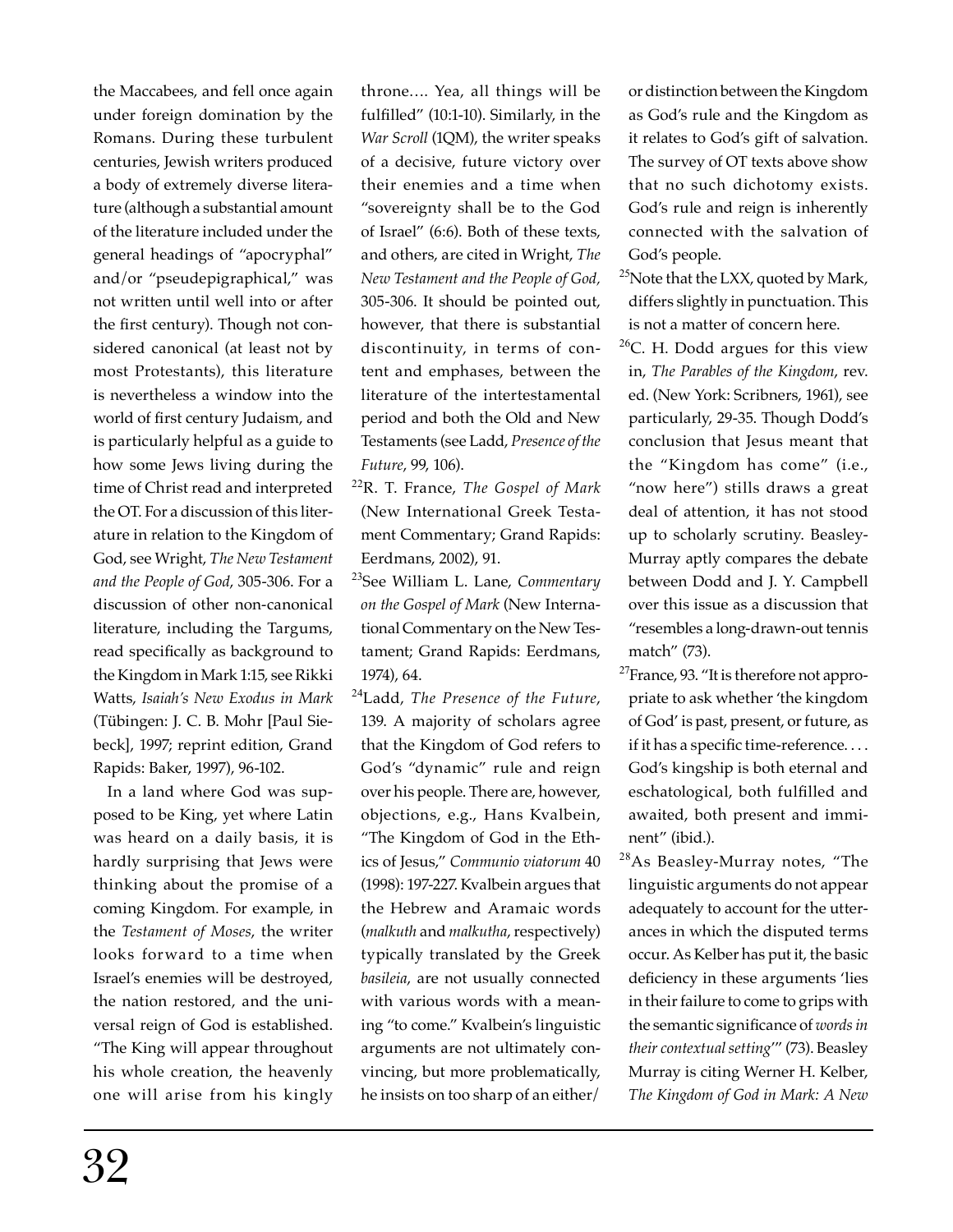the Maccabees, and fell once again under foreign domination by the Romans. During these turbulent centuries, Jewish writers produced a body of extremely diverse literature (although a substantial amount of the literature included under the general headings of "apocryphal" and/or "pseudepigraphical," was not written until well into or after the first century). Though not considered canonical (at least not by most Protestants), this literature is nevertheless a window into the world of first century Judaism, and is particularly helpful as a guide to how some Jews living during the time of Christ read and interpreted the OT. For a discussion of this literature in relation to the Kingdom of God, see Wright, *The New Testament and the People of God*, 305-306. For a discussion of other non-canonical literature, including the Targums, read specifically as background to the Kingdom in Mark 1:15, see Rikki Watts, *Isaiah's New Exodus in Mark* (Tübingen: J. C. B. Mohr [Paul Siebeck], 1997; reprint edition, Grand Rapids: Baker, 1997), 96-102.

 In a land where God was supposed to be King, yet where Latin was heard on a daily basis, it is hardly surprising that Jews were thinking about the promise of a coming Kingdom. For example, in the *Testament of Moses*, the writer looks forward to a time when Israel's enemies will be destroyed, the nation restored, and the universal reign of God is established. "The King will appear throughout his whole creation, the heavenly one will arise from his kingly

throne…. Yea, all things will be fulfilled" (10:1-10). Similarly, in the *War Scroll* (1QM), the writer speaks of a decisive, future victory over their enemies and a time when "sovereignty shall be to the God of Israel" (6:6). Both of these texts, and others, are cited in Wright, *The New Testament and the People of God,*  305-306. It should be pointed out, however, that there is substantial discontinuity, in terms of content and emphases, between the literature of the intertestamental period and both the Old and New Testaments (see Ladd, *Presence of the Future*, 99, 106).

- <sup>22</sup>R. T. France, *The Gospel of Mark* (New International Greek Testament Commentary; Grand Rapids: Eerdmans, 2002), 91.
- <sup>23</sup>See William L. Lane, *Commentary on the Gospel of Mark* (New International Commentary on the New Testament; Grand Rapids: Eerdmans, 1974), 64.
- <sup>24</sup>Ladd, *The Presence of the Future*, 139. A majority of scholars agree that the Kingdom of God refers to God's "dynamic" rule and reign over his people. There are, however, objections, e.g., Hans Kvalbein, "The Kingdom of God in the Ethics of Jesus," *Communio viatorum* 40 (1998): 197-227. Kvalbein argues that the Hebrew and Aramaic words (*malkuth* and *malkutha*, respectively) typically translated by the Greek *basileia*, are not usually connected with various words with a meaning "to come." Kvalbein's linguistic arguments are not ultimately convincing, but more problematically, he insists on too sharp of an either/

or distinction between the Kingdom as God's rule and the Kingdom as it relates to God's gift of salvation. The survey of OT texts above show that no such dichotomy exists. God's rule and reign is inherently connected with the salvation of God's people.

- <sup>25</sup>Note that the LXX, quoted by Mark, differs slightly in punctuation. This is not a matter of concern here.
- $26$ C. H. Dodd argues for this view in, *The Parables of the Kingdom*, rev. ed. (New York: Scribners, 1961), see particularly, 29-35. Though Dodd's conclusion that Jesus meant that the "Kingdom has come" (i.e., "now here") stills draws a great deal of attention, it has not stood up to scholarly scrutiny. Beasley-Murray aptly compares the debate between Dodd and J. Y. Campbell over this issue as a discussion that "resembles a long-drawn-out tennis match" (73).
- <sup>27</sup>France, 93. "It is therefore not appropriate to ask whether 'the kingdom of God' is past, present, or future, as if it has a specific time-reference.... God's kingship is both eternal and eschatological, both fulfilled and awaited, both present and imminent" (ibid.).
- <sup>28</sup>As Beasley-Murray notes, "The linguistic arguments do not appear adequately to account for the utterances in which the disputed terms occur. As Kelber has put it, the basic deficiency in these arguments 'lies in their failure to come to grips with the semantic significance of *words* in *their contextual setting*'" (73). Beasley Murray is citing Werner H. Kelber, *The Kingdom of God in Mark: A New*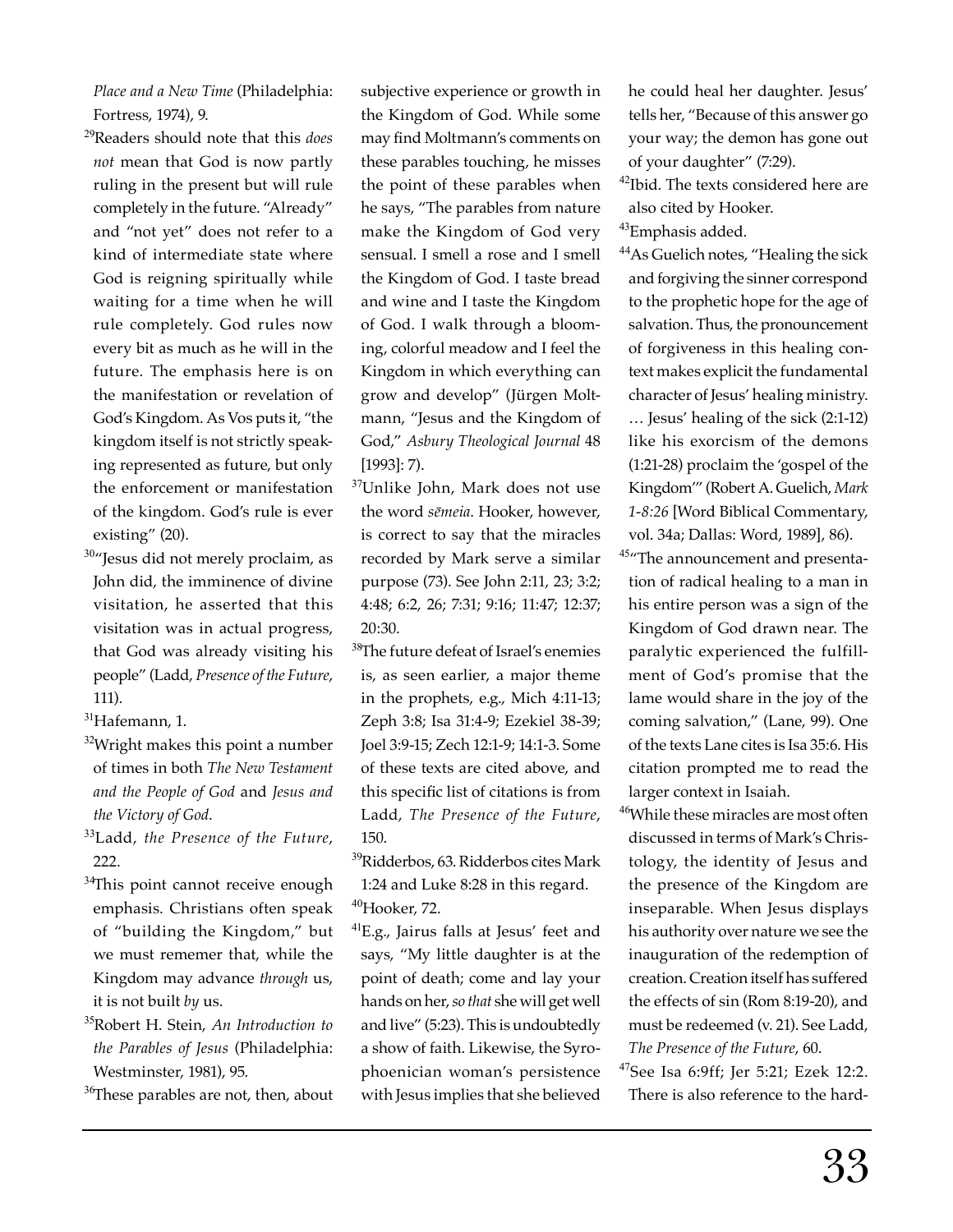*Place and a New Time* (Philadelphia: Fortress, 1974), 9.

- <sup>29</sup>Readers should note that this *does not* mean that God is now partly ruling in the present but will rule completely in the future. "Already" and "not yet" does not refer to a kind of intermediate state where God is reigning spiritually while waiting for a time when he will rule completely. God rules now every bit as much as he will in the future. The emphasis here is on the manifestation or revelation of God's Kingdom. As Vos puts it, "the kingdom itself is not strictly speaking represented as future, but only the enforcement or manifestation of the kingdom. God's rule is ever existing" (20).
- <sup>30</sup>"Jesus did not merely proclaim, as John did, the imminence of divine visitation, he asserted that this visitation was in actual progress, that God was already visiting his people" (Ladd, *Presence of the Future*, 111).

 $31$ Hafemann, 1.

- $32$ Wright makes this point a number of times in both *The New Testament and the People of God* and *Jesus and the Victory of God*.
- <sup>33</sup>Ladd, *the Presence of the Future*, 222.
- <sup>34</sup>This point cannot receive enough emphasis. Christians often speak of "building the Kingdom," but we must rememer that, while the Kingdom may advance *through* us, it is not built *by* us.
- <sup>35</sup>Robert H. Stein, *An Introduction to the Parables of Jesus* (Philadelphia: Westminster, 1981), 95.

<sup>36</sup>These parables are not, then, about

subjective experience or growth in the Kingdom of God. While some may find Moltmann's comments on these parables touching, he misses the point of these parables when he says, "The parables from nature make the Kingdom of God very sensual. I smell a rose and I smell the Kingdom of God. I taste bread and wine and I taste the Kingdom of God. I walk through a blooming, colorful meadow and I feel the Kingdom in which everything can grow and develop" (Jürgen Moltmann, "Jesus and the Kingdom of God," *Asbury Theological Journal* 48 [1993]: 7).

- <sup>37</sup>Unlike John, Mark does not use the word *sēmeia*. Hooker, however, is correct to say that the miracles recorded by Mark serve a similar purpose (73). See John 2:11, 23; 3:2; 4:48; 6:2, 26; 7:31; 9:16; 11:47; 12:37; 20:30.
- <sup>38</sup>The future defeat of Israel's enemies is, as seen earlier, a major theme in the prophets, e.g., Mich 4:11-13; Zeph 3:8; Isa 31:4-9; Ezekiel 38-39; Joel 3:9-15; Zech 12:1-9; 14:1-3. Some of these texts are cited above, and this specific list of citations is from Ladd, *The Presence of the Future*, 150.
- <sup>39</sup>Ridderbos, 63. Ridderbos cites Mark 1:24 and Luke 8:28 in this regard. <sup>40</sup>Hooker, 72.
- ${}^{41}E.g.,$  Jairus falls at Jesus' feet and says, "My little daughter is at the point of death; come and lay your hands on her, *so that* she will get well and live" (5:23). This is undoubtedly a show of faith. Likewise, the Syrophoenician woman's persistence with Jesus implies that she believed

he could heal her daughter. Jesus' tells her, "Because of this answer go your way; the demon has gone out of your daughter" (7:29).

<sup>42</sup>Ibid. The texts considered here are also cited by Hooker.

<sup>43</sup>Emphasis added.

- <sup>44</sup>As Guelich notes, "Healing the sick and forgiving the sinner correspond to the prophetic hope for the age of salvation. Thus, the pronouncement of forgiveness in this healing context makes explicit the fundamental character of Jesus' healing ministry. … Jesus' healing of the sick (2:1-12) like his exorcism of the demons (1:21-28) proclaim the 'gospel of the Kingdom'" (Robert A. Guelich, *Mark 1-8:26* [Word Biblical Commentary, vol. 34a; Dallas: Word, 1989], 86).
- <sup>45</sup>"The announcement and presentation of radical healing to a man in his entire person was a sign of the Kingdom of God drawn near. The paralytic experienced the fulfillment of God's promise that the lame would share in the joy of the coming salvation," (Lane, 99). One of the texts Lane cites is Isa 35:6. His citation prompted me to read the larger context in Isaiah.
- <sup>46</sup>While these miracles are most often discussed in terms of Mark's Christology, the identity of Jesus and the presence of the Kingdom are inseparable. When Jesus displays his authority over nature we see the inauguration of the redemption of creation. Creation itself has suffered the effects of sin (Rom 8:19-20), and must be redeemed (v. 21). See Ladd, *The Presence of the Future*, 60.
- <sup>47</sup>See Isa 6:9ff; Jer 5:21; Ezek 12:2. There is also reference to the hard-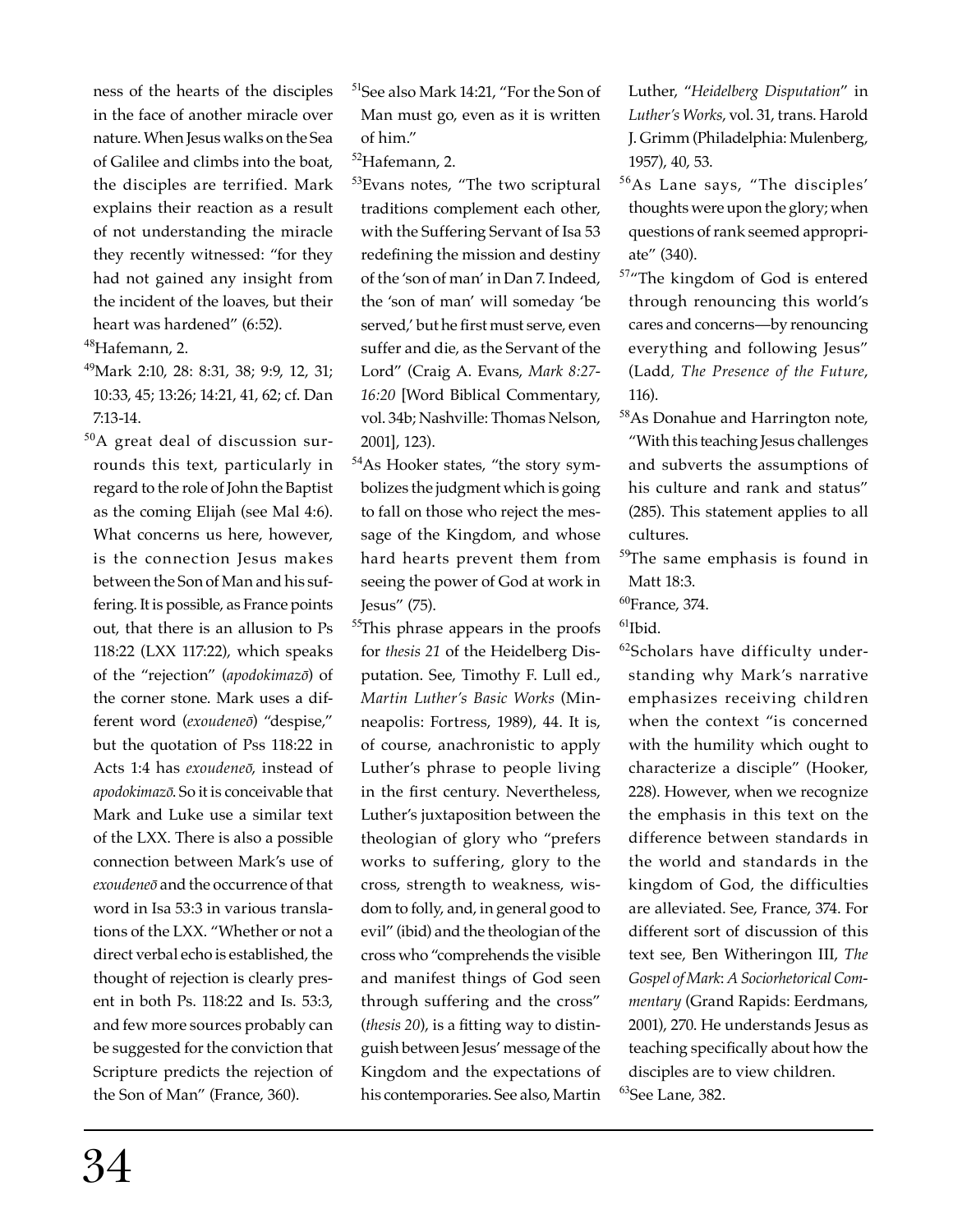ness of the hearts of the disciples in the face of another miracle over nature. When Jesus walks on the Sea of Galilee and climbs into the boat, the disciples are terrified. Mark explains their reaction as a result of not understanding the miracle they recently witnessed: "for they had not gained any insight from the incident of the loaves, but their heart was hardened" (6:52).

<sup>48</sup>Hafemann, 2.

<sup>49</sup>Mark 2:10, 28: 8:31, 38; 9:9, 12, 31; 10:33, 45; 13:26; 14:21, 41, 62; cf. Dan 7:13-14.

 $50A$  great deal of discussion surrounds this text, particularly in regard to the role of John the Baptist as the coming Elijah (see Mal 4:6). What concerns us here, however, is the connection Jesus makes between the Son of Man and his suffering. It is possible, as France points out, that there is an allusion to Ps 118:22 (LXX 117:22), which speaks of the "rejection" (*apodokimazō*) of the corner stone. Mark uses a different word (*exoudeneō*) "despise," but the quotation of Pss 118:22 in Acts 1:4 has *exoudeneō*, instead of *apodokimazō*. So it is conceivable that Mark and Luke use a similar text of the LXX. There is also a possible connection between Mark's use of *exoudeneō* and the occurrence of that word in Isa 53:3 in various translations of the LXX. "Whether or not a direct verbal echo is established, the thought of rejection is clearly present in both Ps. 118:22 and Is. 53:3, and few more sources probably can be suggested for the conviction that Scripture predicts the rejection of the Son of Man" (France, 360).

<sup>52</sup>Hafemann, 2.

53Evans notes, "The two scriptural traditions complement each other, with the Suffering Servant of Isa 53 redefining the mission and destiny of the 'son of man' in Dan 7. Indeed, the 'son of man' will someday 'be served,' but he first must serve, even suffer and die, as the Servant of the Lord" (Craig A. Evans, *Mark 8:27- 16:20* [Word Biblical Commentary, vol. 34b; Nashville: Thomas Nelson, 2001], 123).

- <sup>54</sup>As Hooker states, "the story symbolizes the judgment which is going to fall on those who reject the message of the Kingdom, and whose hard hearts prevent them from seeing the power of God at work in Jesus" (75).
- <sup>55</sup>This phrase appears in the proofs for *thesis 21* of the Heidelberg Disputation. See, Timothy F. Lull ed., *Martin Luther's Basic Works* (Minneapolis: Fortress, 1989), 44. It is, of course, anachronistic to apply Luther's phrase to people living in the first century. Nevertheless, Luther's juxtaposition between the theologian of glory who "prefers works to suffering, glory to the cross, strength to weakness, wisdom to folly, and, in general good to evil" (ibid) and the theologian of the cross who "comprehends the visible and manifest things of God seen through suffering and the cross" (*thesis* 20), is a fitting way to distinguish between Jesus' message of the Kingdom and the expectations of his contemporaries. See also, Martin

Luther, "*Heidelberg Disputation*" in *Luther's Works*, vol. 31, trans. Harold J. Grimm (Philadelphia: Mulenberg, 1957), 40, 53.

- <sup>56</sup>As Lane says, "The disciples' thoughts were upon the glory; when questions of rank seemed appropriate" (340).
- <sup>57</sup>"The kingdom of God is entered through renouncing this world's cares and concerns—by renouncing everything and following Jesus" (Ladd*, The Presence of the Future*, 116).
- <sup>58</sup>As Donahue and Harrington note, "With this teaching Jesus challenges and subverts the assumptions of his culture and rank and status" (285). This statement applies to all cultures.
- <sup>59</sup>The same emphasis is found in Matt 18:3.
- $^{60}$ France, 374.

 $^{61}$ Ibid.

 $62$ Scholars have difficulty understanding why Mark's narrative emphasizes receiving children when the context "is concerned with the humility which ought to characterize a disciple" (Hooker, 228). However, when we recognize the emphasis in this text on the difference between standards in the world and standards in the kingdom of God, the difficulties are alleviated. See, France, 374. For different sort of discussion of this text see, Ben Witheringon III, *The Gospel of Mark*: *A Sociorhetorical Commentary* (Grand Rapids: Eerdmans, 2001), 270. He understands Jesus as teaching specifically about how the disciples are to view children. <sup>63</sup>See Lane, 382.